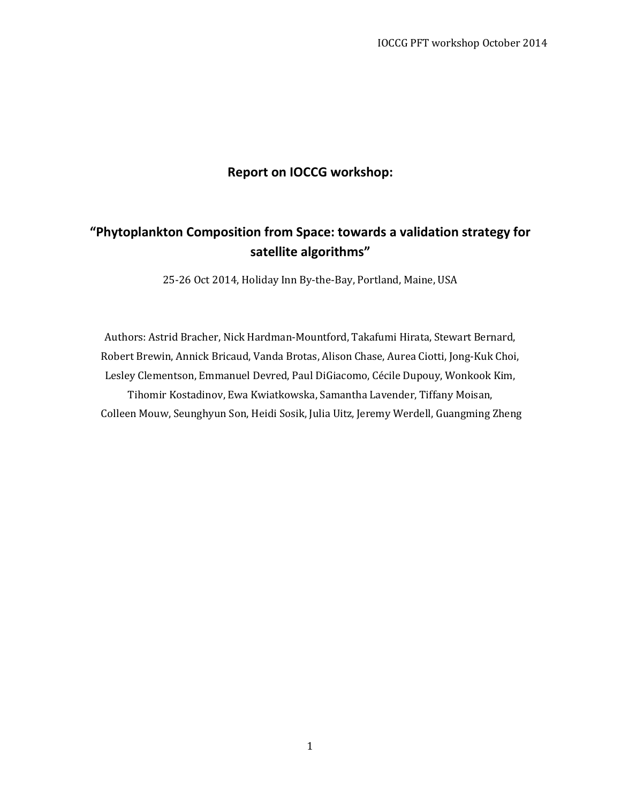### **Report on IOCCG workshop:**

# **"Phytoplankton Composition from Space: towards a validation strategy for satellite algorithms"**

25-26 Oct 2014, Holiday Inn By-the-Bay, Portland, Maine, USA

Authors: Astrid Bracher, Nick Hardman-Mountford, Takafumi Hirata, Stewart Bernard, Robert Brewin, Annick Bricaud, Vanda Brotas, Alison Chase, Aurea Ciotti, Jong-Kuk Choi, Lesley Clementson, Emmanuel Devred, Paul DiGiacomo, Cécile Dupouy, Wonkook Kim, Tihomir Kostadinov, Ewa Kwiatkowska, Samantha Lavender, Tiffany Moisan, Colleen Mouw, Seunghyun Son, Heidi Sosik, Julia Uitz, Jeremy Werdell, Guangming Zheng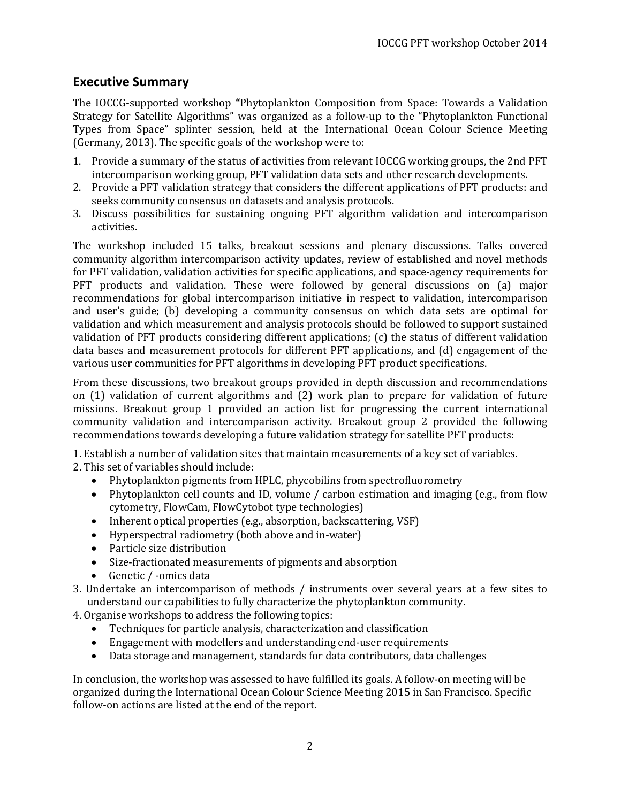### **Executive Summary**

The IOCCG-supported workshop **"**Phytoplankton Composition from Space: Towards a Validation Strategy for Satellite Algorithms" was organized as a follow-up to the "Phytoplankton Functional Types from Space" splinter session, held at the International Ocean Colour Science Meeting (Germany, 2013). The specific goals of the workshop were to:

- 1. Provide a summary of the status of activities from relevant IOCCG working groups, the 2nd PFT intercomparison working group, PFT validation data sets and other research developments.
- 2. Provide a PFT validation strategy that considers the different applications of PFT products: and seeks community consensus on datasets and analysis protocols.
- 3. Discuss possibilities for sustaining ongoing PFT algorithm validation and intercomparison activities.

The workshop included 15 talks, breakout sessions and plenary discussions. Talks covered community algorithm intercomparison activity updates, review of established and novel methods for PFT validation, validation activities for specific applications, and space-agency requirements for PFT products and validation. These were followed by general discussions on (a) major recommendations for global intercomparison initiative in respect to validation, intercomparison and user's guide; (b) developing a community consensus on which data sets are optimal for validation and which measurement and analysis protocols should be followed to support sustained validation of PFT products considering different applications; (c) the status of different validation data bases and measurement protocols for different PFT applications, and (d) engagement of the various user communities for PFT algorithms in developing PFT product specifications.

From these discussions, two breakout groups provided in depth discussion and recommendations on (1) validation of current algorithms and (2) work plan to prepare for validation of future missions. Breakout group 1 provided an action list for progressing the current international community validation and intercomparison activity. Breakout group 2 provided the following recommendations towards developing a future validation strategy for satellite PFT products:

1. Establish a number of validation sites that maintain measurements of a key set of variables. 2. This set of variables should include:

- Phytoplankton pigments from HPLC, phycobilins from spectrofluorometry
- Phytoplankton cell counts and ID, volume / carbon estimation and imaging (e.g., from flow cytometry, FlowCam, FlowCytobot type technologies)
- Inherent optical properties (e.g., absorption, backscattering, VSF)
- Hyperspectral radiometry (both above and in-water)
- Particle size distribution
- Size-fractionated measurements of pigments and absorption
- Genetic / -omics data
- 3. Undertake an intercomparison of methods / instruments over several years at a few sites to understand our capabilities to fully characterize the phytoplankton community.
- 4. Organise workshops to address the following topics:
	- Techniques for particle analysis, characterization and classification
	- Engagement with modellers and understanding end-user requirements
	- Data storage and management, standards for data contributors, data challenges

In conclusion, the workshop was assessed to have fulfilled its goals. A follow-on meeting will be organized during the International Ocean Colour Science Meeting 2015 in San Francisco. Specific follow-on actions are listed at the end of the report.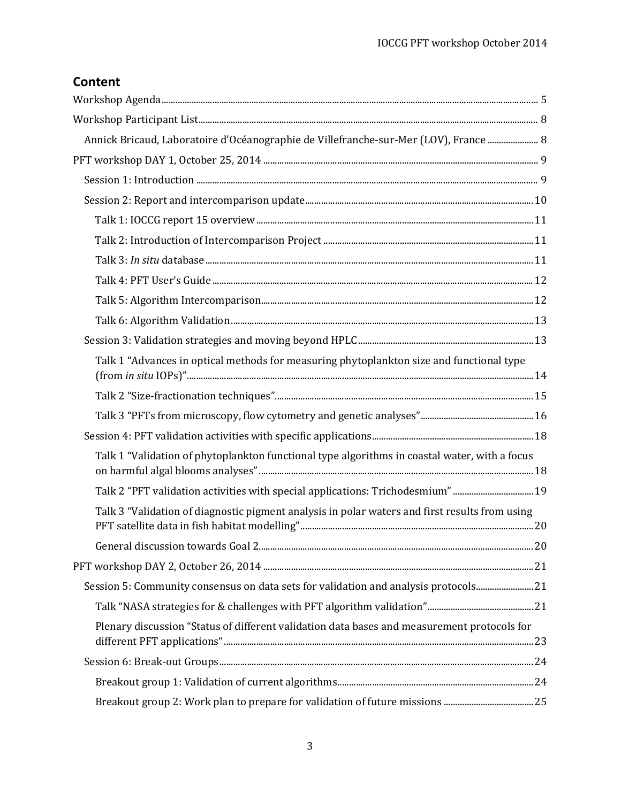# **Content**

| Annick Bricaud, Laboratoire d'Océanographie de Villefranche-sur-Mer (LOV), France  8           |  |
|------------------------------------------------------------------------------------------------|--|
|                                                                                                |  |
|                                                                                                |  |
|                                                                                                |  |
|                                                                                                |  |
|                                                                                                |  |
|                                                                                                |  |
|                                                                                                |  |
|                                                                                                |  |
|                                                                                                |  |
|                                                                                                |  |
| Talk 1 "Advances in optical methods for measuring phytoplankton size and functional type       |  |
|                                                                                                |  |
|                                                                                                |  |
|                                                                                                |  |
| Talk 1 "Validation of phytoplankton functional type algorithms in coastal water, with a focus  |  |
| Talk 2 "PFT validation activities with special applications: Trichodesmium"19                  |  |
| Talk 3 "Validation of diagnostic pigment analysis in polar waters and first results from using |  |
|                                                                                                |  |
|                                                                                                |  |
| Session 5: Community consensus on data sets for validation and analysis protocols21            |  |
|                                                                                                |  |
| Plenary discussion "Status of different validation data bases and measurement protocols for    |  |
|                                                                                                |  |
|                                                                                                |  |
|                                                                                                |  |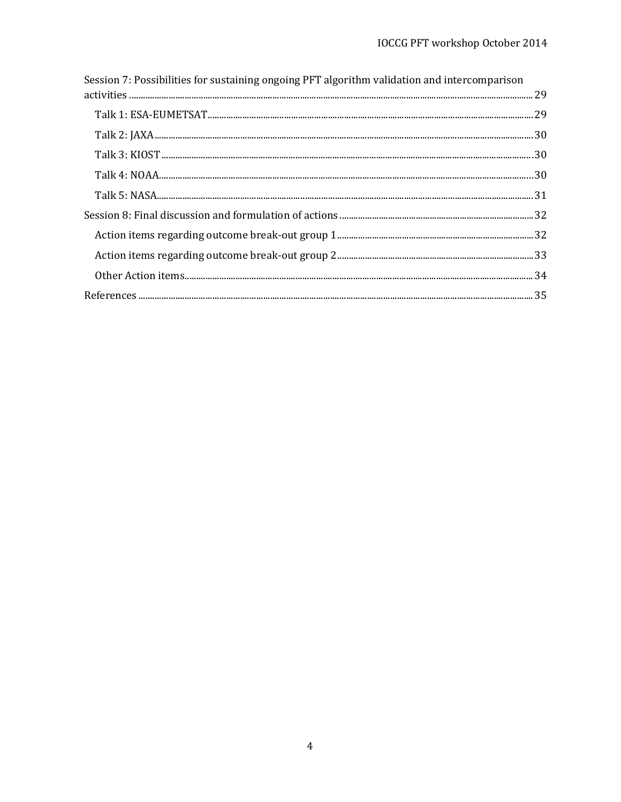| Session 7: Possibilities for sustaining ongoing PFT algorithm validation and intercomparison |  |
|----------------------------------------------------------------------------------------------|--|
|                                                                                              |  |
|                                                                                              |  |
|                                                                                              |  |
|                                                                                              |  |
|                                                                                              |  |
|                                                                                              |  |
|                                                                                              |  |
|                                                                                              |  |
|                                                                                              |  |
|                                                                                              |  |
|                                                                                              |  |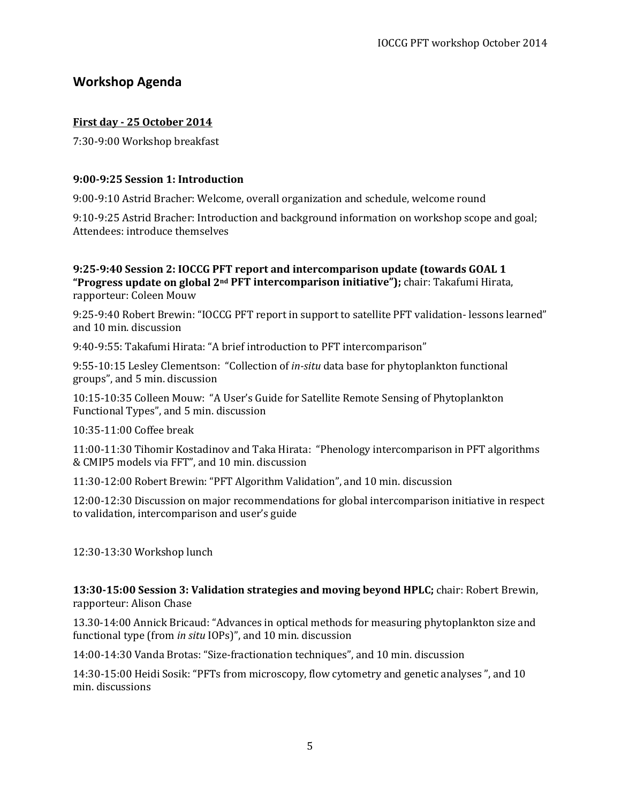### <span id="page-4-0"></span>**Workshop Agenda**

### **First day - 25 October 2014**

7:30-9:00 Workshop breakfast

### **9:00-9:25 Session 1: Introduction**

9:00-9:10 Astrid Bracher: Welcome, overall organization and schedule, welcome round

9:10-9:25 Astrid Bracher: Introduction and background information on workshop scope and goal; Attendees: introduce themselves

### **9:25-9:40 Session 2: IOCCG PFT report and intercomparison update (towards GOAL 1 "Progress update on global 2nd PFT intercomparison initiative");** chair: Takafumi Hirata, rapporteur: Coleen Mouw

9:25-9:40 Robert Brewin: "IOCCG PFT report in support to satellite PFT validation- lessons learned" and 10 min. discussion

9:40-9:55: Takafumi Hirata: "A brief introduction to PFT intercomparison"

9:55-10:15 Lesley Clementson: "Collection of *in-situ* data base for phytoplankton functional groups", and 5 min. discussion

10:15-10:35 Colleen Mouw: "A User's Guide for Satellite Remote Sensing of Phytoplankton Functional Types", and 5 min. discussion

10:35-11:00 Coffee break

11:00-11:30 Tihomir Kostadinov and Taka Hirata: "Phenology intercomparison in PFT algorithms & CMIP5 models via FFT", and 10 min. discussion

11:30-12:00 Robert Brewin: "PFT Algorithm Validation", and 10 min. discussion

12:00-12:30 Discussion on major recommendations for global intercomparison initiative in respect to validation, intercomparison and user's guide

12:30-13:30 Workshop lunch

**13:30-15:00 Session 3: Validation strategies and moving beyond HPLC;** chair: Robert Brewin, rapporteur: Alison Chase

13.30-14:00 Annick Bricaud: "Advances in optical methods for measuring phytoplankton size and functional type (from *in situ* IOPs)", and 10 min. discussion

14:00-14:30 Vanda Brotas: "Size-fractionation techniques", and 10 min. discussion

14:30-15:00 Heidi Sosik: "PFTs from microscopy, flow cytometry and genetic analyses ", and 10 min. discussions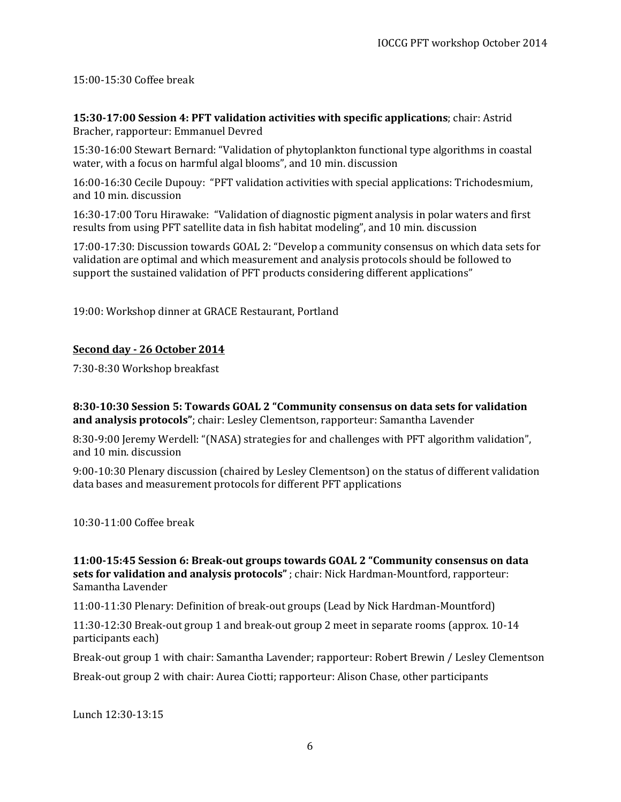15:00-15:30 Coffee break

**15:30-17:00 Session 4: PFT validation activities with specific applications**; chair: Astrid Bracher, rapporteur: Emmanuel Devred

15:30-16:00 Stewart Bernard: "Validation of phytoplankton functional type algorithms in coastal water, with a focus on harmful algal blooms", and 10 min. discussion

16:00-16:30 Cecile Dupouy: "PFT validation activities with special applications: Trichodesmium, and 10 min. discussion

16:30-17:00 Toru Hirawake: "Validation of diagnostic pigment analysis in polar waters and first results from using PFT satellite data in fish habitat modeling", and 10 min. discussion

17:00-17:30: Discussion towards GOAL 2: "Develop a community consensus on which data sets for validation are optimal and which measurement and analysis protocols should be followed to support the sustained validation of PFT products considering different applications"

19:00: Workshop dinner at GRACE Restaurant, Portland

### **Second day - 26 October 2014**

7:30-8:30 Workshop breakfast

**8:30-10:30 Session 5: Towards GOAL 2 "Community consensus on data sets for validation and analysis protocols"**; chair: Lesley Clementson, rapporteur: Samantha Lavender

8:30-9:00 Jeremy Werdell: "(NASA) strategies for and challenges with PFT algorithm validation", and 10 min. discussion

9:00-10:30 Plenary discussion (chaired by Lesley Clementson) on the status of different validation data bases and measurement protocols for different PFT applications

10:30-11:00 Coffee break

**11:00-15:45 Session 6: Break-out groups towards GOAL 2 "Community consensus on data sets for validation and analysis protocols"** ; chair: Nick Hardman-Mountford, rapporteur: Samantha Lavender

11:00-11:30 Plenary: Definition of break-out groups (Lead by Nick Hardman-Mountford)

11:30-12:30 Break-out group 1 and break-out group 2 meet in separate rooms (approx. 10-14 participants each)

Break-out group 1 with chair: Samantha Lavender; rapporteur: Robert Brewin / Lesley Clementson Break-out group 2 with chair: Aurea Ciotti; rapporteur: Alison Chase, other participants

Lunch 12:30-13:15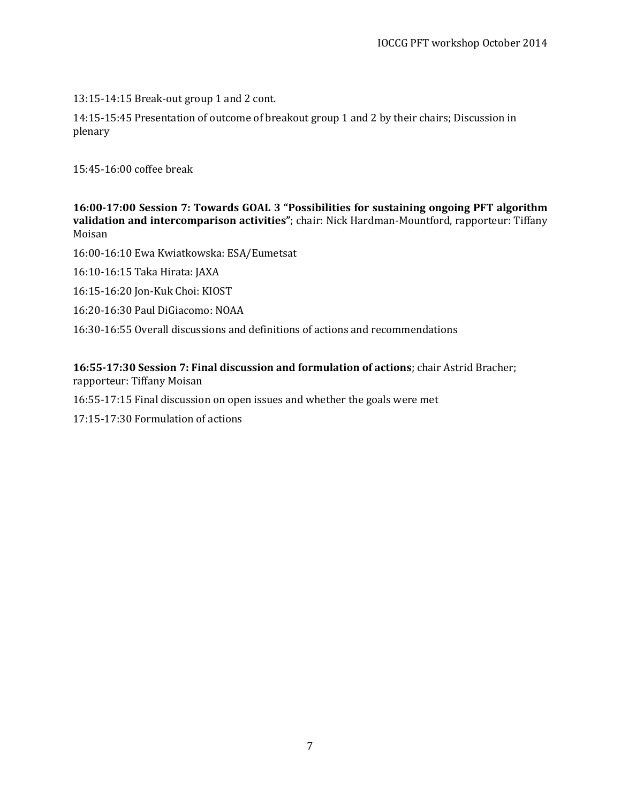13:15-14:15 Break-out group 1 and 2 cont.

14:15-15:45 Presentation of outcome of breakout group 1 and 2 by their chairs; Discussion in plenary

15:45-16:00 coffee break

**16:00-17:00 Session 7: Towards GOAL 3 "Possibilities for sustaining ongoing PFT algorithm validation and intercomparison activities"**; chair: Nick Hardman-Mountford, rapporteur: Tiffany Moisan

16:00-16:10 Ewa Kwiatkowska: ESA/Eumetsat

16:10-16:15 Taka Hirata: JAXA

16:15-16:20 Jon-Kuk Choi: KIOST

16:20-16:30 Paul DiGiacomo: NOAA

16:30-16:55 Overall discussions and definitions of actions and recommendations

**16:55-17:30 Session 7: Final discussion and formulation of actions**; chair Astrid Bracher; rapporteur: Tiffany Moisan

16:55-17:15 Final discussion on open issues and whether the goals were met

17:15-17:30 Formulation of actions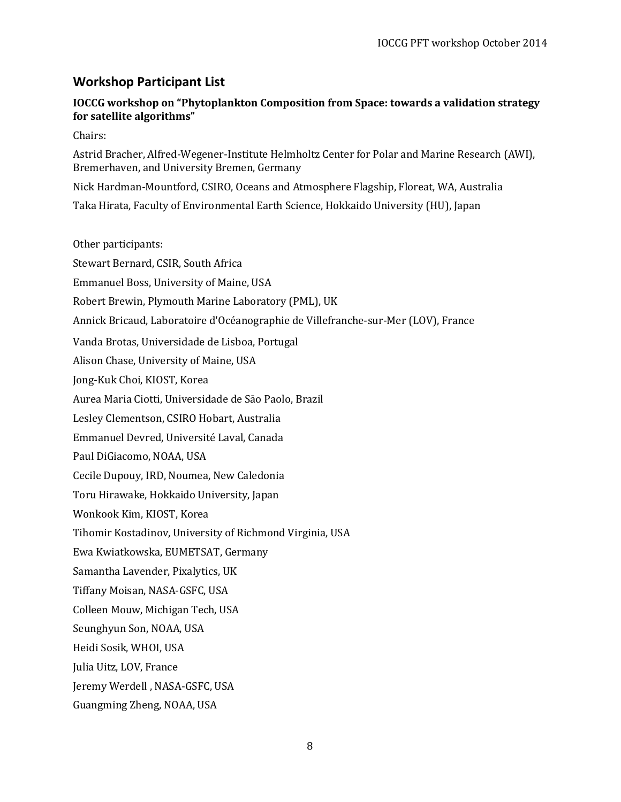### <span id="page-7-0"></span>**Workshop Participant List**

### **IOCCG workshop on "Phytoplankton Composition from Space: towards a validation strategy for satellite algorithms"**

Chairs:

Astrid Bracher, Alfred-Wegener-Institute Helmholtz Center for Polar and Marine Research (AWI), Bremerhaven, and University Bremen, Germany

Nick Hardman-Mountford, CSIRO, Oceans and Atmosphere Flagship, Floreat, WA, Australia

Taka Hirata, Faculty of Environmental Earth Science, Hokkaido University (HU), Japan

Other participants:

<span id="page-7-1"></span>Stewart Bernard, CSIR, South Africa Emmanuel Boss, University of Maine, USA Robert Brewin, Plymouth Marine Laboratory (PML), UK Annick Bricaud, Laboratoire d'Océanographie de Villefranche-sur-Mer (LOV), France Vanda Brotas, Universidade de Lisboa, Portugal Alison Chase, University of Maine, USA Jong-Kuk Choi, KIOST, Korea Aurea Maria Ciotti, Universidade de Sāo Paolo, Brazil Lesley Clementson, CSIRO Hobart, Australia Emmanuel Devred, Université Laval, Canada Paul DiGiacomo, NOAA, USA Cecile Dupouy, IRD, Noumea, New Caledonia Toru Hirawake, Hokkaido University, Japan Wonkook Kim, KIOST, Korea Tihomir Kostadinov, University of Richmond Virginia, USA Ewa Kwiatkowska, EUMETSAT, Germany Samantha Lavender, Pixalytics, UK Tiffany Moisan, NASA-GSFC, USA Colleen Mouw, Michigan Tech, USA Seunghyun Son, NOAA, USA Heidi Sosik, WHOI, USA Julia Uitz, LOV, France Jeremy Werdell , NASA-GSFC, USA Guangming Zheng, NOAA, USA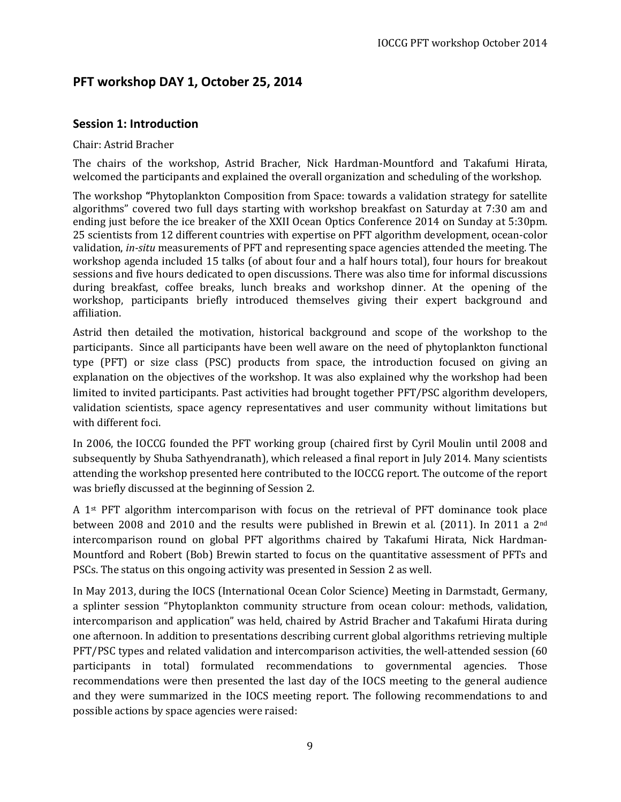## <span id="page-8-0"></span>**PFT workshop DAY 1, October 25, 2014**

### <span id="page-8-1"></span>**Session 1: Introduction**

### Chair: Astrid Bracher

The chairs of the workshop, Astrid Bracher, Nick Hardman-Mountford and Takafumi Hirata, welcomed the participants and explained the overall organization and scheduling of the workshop.

The workshop **"**Phytoplankton Composition from Space: towards a validation strategy for satellite algorithms" covered two full days starting with workshop breakfast on Saturday at 7:30 am and ending just before the ice breaker of the XXII Ocean Optics Conference 2014 on Sunday at 5:30pm. 25 scientists from 12 different countries with expertise on PFT algorithm development, ocean-color validation, *in-situ* measurements of PFT and representing space agencies attended the meeting. The workshop agenda included 15 talks (of about four and a half hours total), four hours for breakout sessions and five hours dedicated to open discussions. There was also time for informal discussions during breakfast, coffee breaks, lunch breaks and workshop dinner. At the opening of the workshop, participants briefly introduced themselves giving their expert background and affiliation.

Astrid then detailed the motivation, historical background and scope of the workshop to the participants. Since all participants have been well aware on the need of phytoplankton functional type (PFT) or size class (PSC) products from space, the introduction focused on giving an explanation on the objectives of the workshop. It was also explained why the workshop had been limited to invited participants. Past activities had brought together PFT/PSC algorithm developers, validation scientists, space agency representatives and user community without limitations but with different foci.

In 2006, the IOCCG founded the PFT working group (chaired first by Cyril Moulin until 2008 and subsequently by Shuba Sathyendranath), which released a final report in July 2014. Many scientists attending the workshop presented here contributed to the IOCCG report. The outcome of the report was briefly discussed at the beginning of Session 2.

A 1st PFT algorithm intercomparison with focus on the retrieval of PFT dominance took place between 2008 and 2010 and the results were published in Brewin et al. (2011). In 2011 a 2nd intercomparison round on global PFT algorithms chaired by Takafumi Hirata, Nick Hardman-Mountford and Robert (Bob) Brewin started to focus on the quantitative assessment of PFTs and PSCs. The status on this ongoing activity was presented in Session 2 as well.

In May 2013, during the IOCS (International Ocean Color Science) Meeting in Darmstadt, Germany, a splinter session "Phytoplankton community structure from ocean colour: methods, validation, intercomparison and application" was held, chaired by Astrid Bracher and Takafumi Hirata during one afternoon. In addition to presentations describing current global algorithms retrieving multiple PFT/PSC types and related validation and intercomparison activities, the well-attended session (60 participants in total) formulated recommendations to governmental agencies. Those recommendations were then presented the last day of the IOCS meeting to the general audience and they were summarized in the IOCS meeting report. The following recommendations to and possible actions by space agencies were raised: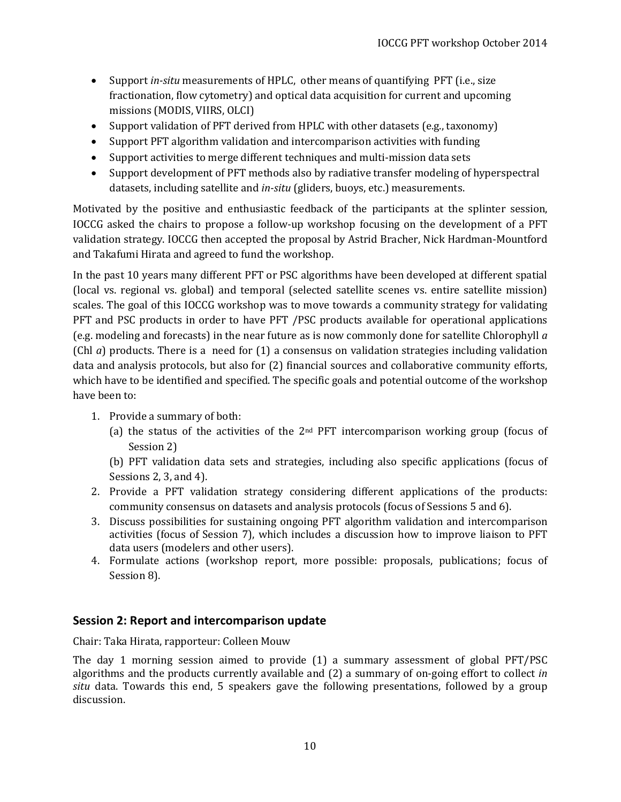- Support *in-situ* measurements of HPLC, other means of quantifying PFT (i.e., size fractionation, flow cytometry) and optical data acquisition for current and upcoming missions (MODIS, VIIRS, OLCI)
- Support validation of PFT derived from HPLC with other datasets (e.g., taxonomy)
- Support PFT algorithm validation and intercomparison activities with funding
- Support activities to merge different techniques and multi-mission data sets
- Support development of PFT methods also by radiative transfer modeling of hyperspectral datasets, including satellite and *in-situ* (gliders, buoys, etc.) measurements.

Motivated by the positive and enthusiastic feedback of the participants at the splinter session, IOCCG asked the chairs to propose a follow-up workshop focusing on the development of a PFT validation strategy. IOCCG then accepted the proposal by Astrid Bracher, Nick Hardman-Mountford and Takafumi Hirata and agreed to fund the workshop.

In the past 10 years many different PFT or PSC algorithms have been developed at different spatial (local vs. regional vs. global) and temporal (selected satellite scenes vs. entire satellite mission) scales. The goal of this IOCCG workshop was to move towards a community strategy for validating PFT and PSC products in order to have PFT /PSC products available for operational applications (e.g. modeling and forecasts) in the near future as is now commonly done for satellite Chlorophyll *a*  (Chl *a*) products. There is a need for (1) a consensus on validation strategies including validation data and analysis protocols, but also for (2) financial sources and collaborative community efforts, which have to be identified and specified. The specific goals and potential outcome of the workshop have been to:

- 1. Provide a summary of both:
	- (a) the status of the activities of the  $2<sup>nd</sup>$  PFT intercomparison working group (focus of Session 2)

(b) PFT validation data sets and strategies, including also specific applications (focus of Sessions 2, 3, and 4).

- 2. Provide a PFT validation strategy considering different applications of the products: community consensus on datasets and analysis protocols (focus of Sessions 5 and 6).
- 3. Discuss possibilities for sustaining ongoing PFT algorithm validation and intercomparison activities (focus of Session 7), which includes a discussion how to improve liaison to PFT data users (modelers and other users).
- 4. Formulate actions (workshop report, more possible: proposals, publications; focus of Session 8).

### <span id="page-9-0"></span>**Session 2: Report and intercomparison update**

Chair: Taka Hirata, rapporteur: Colleen Mouw

The day 1 morning session aimed to provide (1) a summary assessment of global PFT/PSC algorithms and the products currently available and (2) a summary of on-going effort to collect *in situ* data. Towards this end, 5 speakers gave the following presentations, followed by a group discussion.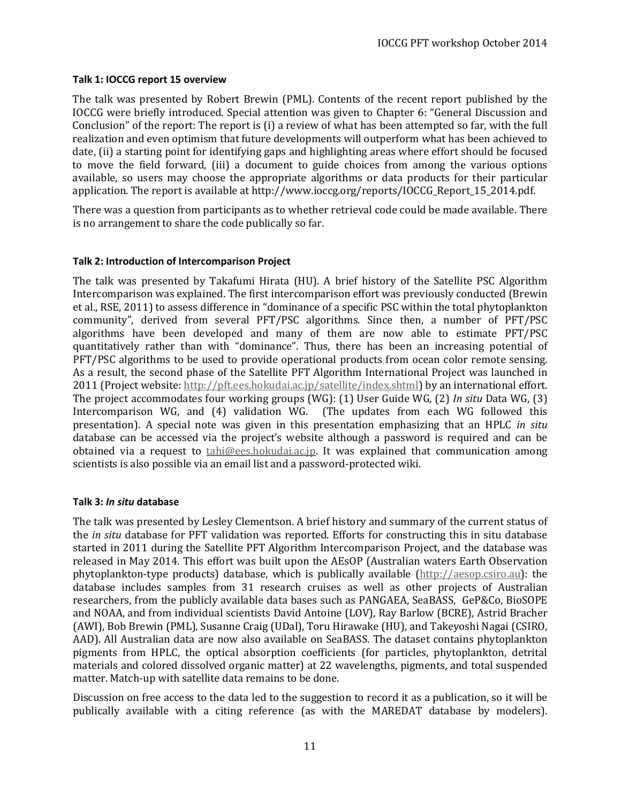#### <span id="page-10-0"></span>**Talk 1: IOCCG report 15 overview**

The talk was presented by Robert Brewin (PML). Contents of the recent report published by the IOCCG were briefly introduced. Special attention was given to Chapter 6: "General Discussion and Conclusion" of the report: The report is (i) a review of what has been attempted so far, with the full realization and even optimism that future developments will outperform what has been achieved to date, (ii) a starting point for identifying gaps and highlighting areas where effort should be focused to move the field forward, (iii) a document to guide choices from among the various options available, so users may choose the appropriate algorithms or data products for their particular application. The report is available at http://www.ioccg.org/reports/IOCCG\_Report\_15\_2014.pdf.

There was a question from participants as to whether retrieval code could be made available. There is no arrangement to share the code publically so far.

#### <span id="page-10-1"></span>**Talk 2: Introduction of Intercomparison Project**

The talk was presented by Takafumi Hirata (HU). A brief history of the Satellite PSC Algorithm Intercomparison was explained. The first intercomparison effort was previously conducted (Brewin et al., RSE, 2011) to assess difference in "dominance of a specific PSC within the total phytoplankton community", derived from several PFT/PSC algorithms. Since then, a number of PFT/PSC algorithms have been developed and many of them are now able to estimate PFT/PSC quantitatively rather than with "dominance". Thus, there has been an increasing potential of PFT/PSC algorithms to be used to provide operational products from ocean color remote sensing. As a result, the second phase of the Satellite PFT Algorithm International Project was launched in 2011 (Project website: [http://pft.ees.hokudai.ac.jp/satellite/index.shtml\)](http://pft.ees.hokudai.ac.jp/satellite/index.shtml) by an international effort. The project accommodates four working groups (WG): (1) User Guide WG, (2) *In situ* Data WG, (3) Intercomparison WG, and (4) validation WG. (The updates from each WG followed this presentation). A special note was given in this presentation emphasizing that an HPLC *in situ* database can be accessed via the project's website although a password is required and can be obtained via a request to **tahi@ees.hokudai.ac.jp.** It was explained that communication among scientists is also possible via an email list and a password-protected wiki.

#### <span id="page-10-2"></span>**Talk 3:** *In situ* **database**

The talk was presented by Lesley Clementson. A brief history and summary of the current status of the *in situ* database for PFT validation was reported. Efforts for constructing this in situ database started in 2011 during the Satellite PFT Algorithm Intercomparison Project, and the database was released in May 2014. This effort was built upon the AEsOP (Australian waters Earth Observation phytoplankton-type products) database, which is publically available [\(http://aesop.csiro.au\)](http://aesop.csiro.au/): the database includes samples from 31 research cruises as well as other projects of Australian researchers, from the publicly available data bases such as PANGAEA, SeaBASS, GeP&Co, BioSOPE and NOAA, and from individual scientists David Antoine (LOV), Ray Barlow (BCRE), Astrid Bracher (AWI), Bob Brewin (PML), Susanne Craig (UDal), Toru Hirawake (HU), and Takeyoshi Nagai (CSIRO, AAD). All Australian data are now also available on SeaBASS. The dataset contains phytoplankton pigments from HPLC, the optical absorption coefficients (for particles, phytoplankton, detrital materials and colored dissolved organic matter) at 22 wavelengths, pigments, and total suspended matter. Match-up with satellite data remains to be done.

Discussion on free access to the data led to the suggestion to record it as a publication, so it will be publically available with a citing reference (as with the MAREDAT database by modelers).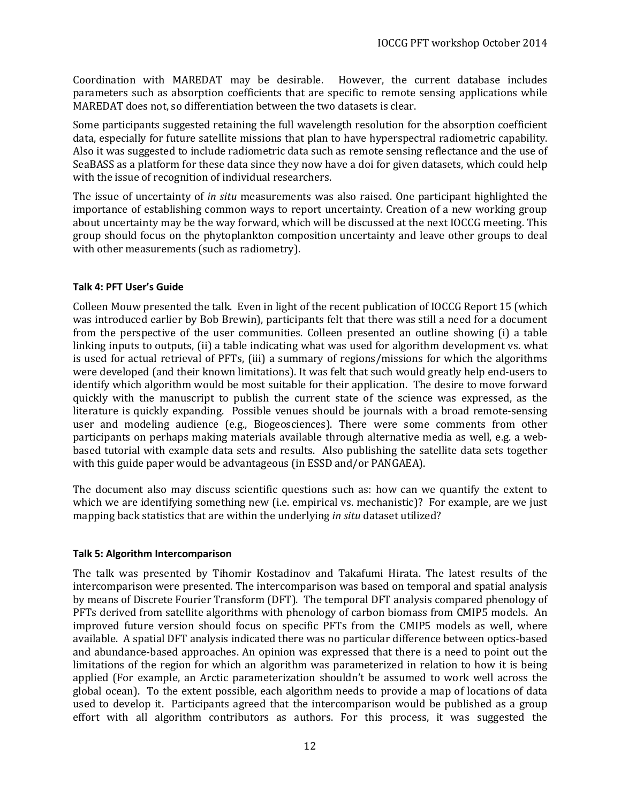Coordination with MAREDAT may be desirable. However, the current database includes parameters such as absorption coefficients that are specific to remote sensing applications while MAREDAT does not, so differentiation between the two datasets is clear.

Some participants suggested retaining the full wavelength resolution for the absorption coefficient data, especially for future satellite missions that plan to have hyperspectral radiometric capability. Also it was suggested to include radiometric data such as remote sensing reflectance and the use of SeaBASS as a platform for these data since they now have a doi for given datasets, which could help with the issue of recognition of individual researchers.

The issue of uncertainty of *in situ* measurements was also raised. One participant highlighted the importance of establishing common ways to report uncertainty. Creation of a new working group about uncertainty may be the way forward, which will be discussed at the next IOCCG meeting. This group should focus on the phytoplankton composition uncertainty and leave other groups to deal with other measurements (such as radiometry).

#### <span id="page-11-0"></span>**Talk 4: PFT User's Guide**

Colleen Mouw presented the talk. Even in light of the recent publication of IOCCG Report 15 (which was introduced earlier by Bob Brewin), participants felt that there was still a need for a document from the perspective of the user communities. Colleen presented an outline showing (i) a table linking inputs to outputs, (ii) a table indicating what was used for algorithm development vs. what is used for actual retrieval of PFTs, (iii) a summary of regions/missions for which the algorithms were developed (and their known limitations). It was felt that such would greatly help end-users to identify which algorithm would be most suitable for their application. The desire to move forward quickly with the manuscript to publish the current state of the science was expressed, as the literature is quickly expanding. Possible venues should be journals with a broad remote-sensing user and modeling audience (e.g., Biogeosciences). There were some comments from other participants on perhaps making materials available through alternative media as well, e.g. a webbased tutorial with example data sets and results. Also publishing the satellite data sets together with this guide paper would be advantageous (in ESSD and/or PANGAEA).

The document also may discuss scientific questions such as: how can we quantify the extent to which we are identifying something new (i.e. empirical vs. mechanistic)? For example, are we just mapping back statistics that are within the underlying *in situ* dataset utilized?

#### <span id="page-11-1"></span>**Talk 5: Algorithm Intercomparison**

The talk was presented by Tihomir Kostadinov and Takafumi Hirata. The latest results of the intercomparison were presented. The intercomparison was based on temporal and spatial analysis by means of Discrete Fourier Transform (DFT). The temporal DFT analysis compared phenology of PFTs derived from satellite algorithms with phenology of carbon biomass from CMIP5 models. An improved future version should focus on specific PFTs from the CMIP5 models as well, where available. A spatial DFT analysis indicated there was no particular difference between optics-based and abundance-based approaches. An opinion was expressed that there is a need to point out the limitations of the region for which an algorithm was parameterized in relation to how it is being applied (For example, an Arctic parameterization shouldn't be assumed to work well across the global ocean). To the extent possible, each algorithm needs to provide a map of locations of data used to develop it. Participants agreed that the intercomparison would be published as a group effort with all algorithm contributors as authors. For this process, it was suggested the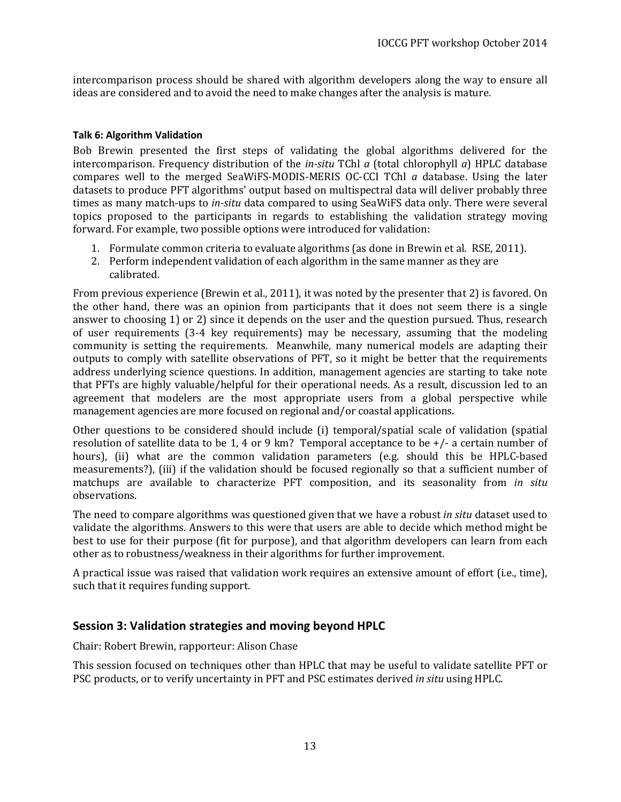intercomparison process should be shared with algorithm developers along the way to ensure all ideas are considered and to avoid the need to make changes after the analysis is mature.

#### <span id="page-12-0"></span>**Talk 6: Algorithm Validation**

Bob Brewin presented the first steps of validating the global algorithms delivered for the intercomparison. Frequency distribution of the *in-situ* TChl *a* (total chlorophyll *a*) HPLC database compares well to the merged SeaWiFS-MODIS-MERIS OC-CCI TChl *a* database. Using the later datasets to produce PFT algorithms' output based on multispectral data will deliver probably three times as many match-ups to *in-situ* data compared to using SeaWiFS data only. There were several topics proposed to the participants in regards to establishing the validation strategy moving forward. For example, two possible options were introduced for validation:

- 1. Formulate common criteria to evaluate algorithms (as done in Brewin et al. RSE, 2011).
- 2. Perform independent validation of each algorithm in the same manner as they are calibrated.

From previous experience (Brewin et al., 2011), it was noted by the presenter that 2) is favored. On the other hand, there was an opinion from participants that it does not seem there is a single answer to choosing 1) or 2) since it depends on the user and the question pursued. Thus, research of user requirements (3-4 key requirements) may be necessary, assuming that the modeling community is setting the requirements. Meanwhile, many numerical models are adapting their outputs to comply with satellite observations of PFT, so it might be better that the requirements address underlying science questions. In addition, management agencies are starting to take note that PFTs are highly valuable/helpful for their operational needs. As a result, discussion led to an agreement that modelers are the most appropriate users from a global perspective while management agencies are more focused on regional and/or coastal applications.

Other questions to be considered should include (i) temporal/spatial scale of validation (spatial resolution of satellite data to be 1, 4 or 9 km? Temporal acceptance to be +/- a certain number of hours), (ii) what are the common validation parameters (e.g. should this be HPLC-based measurements?), (iii) if the validation should be focused regionally so that a sufficient number of matchups are available to characterize PFT composition, and its seasonality from *in situ* observations.

The need to compare algorithms was questioned given that we have a robust *in situ* dataset used to validate the algorithms. Answers to this were that users are able to decide which method might be best to use for their purpose (fit for purpose), and that algorithm developers can learn from each other as to robustness/weakness in their algorithms for further improvement.

A practical issue was raised that validation work requires an extensive amount of effort (i.e., time), such that it requires funding support.

### <span id="page-12-1"></span>**Session 3: Validation strategies and moving beyond HPLC**

Chair: Robert Brewin, rapporteur: Alison Chase

This session focused on techniques other than HPLC that may be useful to validate satellite PFT or PSC products, or to verify uncertainty in PFT and PSC estimates derived *in situ* using HPLC.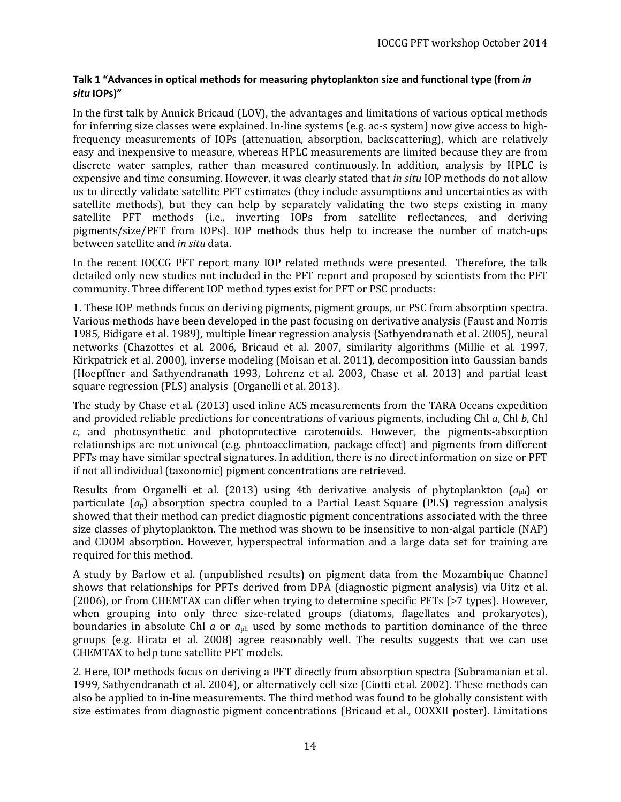### <span id="page-13-0"></span>**Talk 1 "Advances in optical methods for measuring phytoplankton size and functional type (from** *in situ* **IOPs)"**

In the first talk by Annick Bricaud (LOV), the advantages and limitations of various optical methods for inferring size classes were explained. In-line systems (e.g. ac-s system) now give access to highfrequency measurements of IOPs (attenuation, absorption, backscattering), which are relatively easy and inexpensive to measure, whereas HPLC measurements are limited because they are from discrete water samples, rather than measured continuously. In addition, analysis by HPLC is expensive and time consuming. However, it was clearly stated that *in situ* IOP methods do not allow us to directly validate satellite PFT estimates (they include assumptions and uncertainties as with satellite methods), but they can help by separately validating the two steps existing in many satellite PFT methods (i.e., inverting IOPs from satellite reflectances, and deriving pigments/size/PFT from IOPs). IOP methods thus help to increase the number of match-ups between satellite and *in situ* data.

In the recent IOCCG PFT report many IOP related methods were presented. Therefore, the talk detailed only new studies not included in the PFT report and proposed by scientists from the PFT community. Three different IOP method types exist for PFT or PSC products:

1. These IOP methods focus on deriving pigments, pigment groups, or PSC from absorption spectra. Various methods have been developed in the past focusing on derivative analysis (Faust and Norris 1985, Bidigare et al. 1989), multiple linear regression analysis (Sathyendranath et al. 2005), neural networks (Chazottes et al. 2006, Bricaud et al. 2007, similarity algorithms (Millie et al. 1997, Kirkpatrick et al. 2000), inverse modeling (Moisan et al. 2011), decomposition into Gaussian bands (Hoepffner and Sathyendranath 1993, Lohrenz et al. 2003, Chase et al. 2013) and partial least square regression (PLS) analysis (Organelli et al. 2013).

The study by Chase et al. (2013) used inline ACS measurements from the TARA Oceans expedition and provided reliable predictions for concentrations of various pigments, including Chl *a*, Chl *b*, Chl *c*, and photosynthetic and photoprotective carotenoids. However, the pigments-absorption relationships are not univocal (e.g. photoacclimation, package effect) and pigments from different PFTs may have similar spectral signatures. In addition, there is no direct information on size or PFT if not all individual (taxonomic) pigment concentrations are retrieved.

Results from Organelli et al. (2013) using 4th derivative analysis of phytoplankton (*a*ph) or particulate (*a*p) absorption spectra coupled to a Partial Least Square (PLS) regression analysis showed that their method can predict diagnostic pigment concentrations associated with the three size classes of phytoplankton. The method was shown to be insensitive to non-algal particle (NAP) and CDOM absorption. However, hyperspectral information and a large data set for training are required for this method.

A study by Barlow et al. (unpublished results) on pigment data from the Mozambique Channel shows that relationships for PFTs derived from DPA (diagnostic pigment analysis) via Uitz et al. (2006), or from CHEMTAX can differ when trying to determine specific PFTs (>7 types). However, when grouping into only three size-related groups (diatoms, flagellates and prokaryotes), boundaries in absolute Chl *a* or *a*ph used by some methods to partition dominance of the three groups (e.g. Hirata et al. 2008) agree reasonably well. The results suggests that we can use CHEMTAX to help tune satellite PFT models.

2. Here, IOP methods focus on deriving a PFT directly from absorption spectra (Subramanian et al. 1999, Sathyendranath et al. 2004), or alternatively cell size (Ciotti et al. 2002). These methods can also be applied to in-line measurements. The third method was found to be globally consistent with size estimates from diagnostic pigment concentrations (Bricaud et al., OOXXII poster). Limitations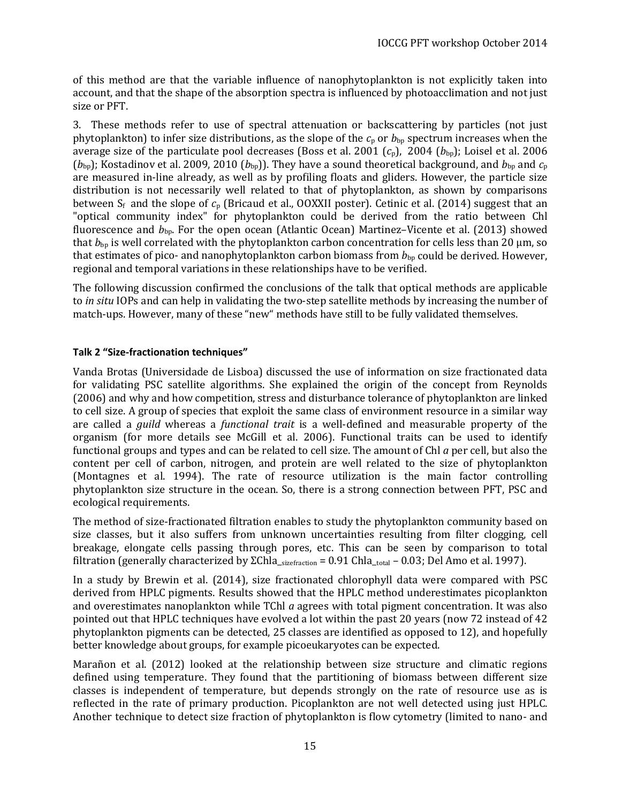of this method are that the variable influence of nanophytoplankton is not explicitly taken into account, and that the shape of the absorption spectra is influenced by photoacclimation and not just size or PFT.

3. These methods refer to use of spectral attenuation or backscattering by particles (not just phytoplankton) to infer size distributions, as the slope of the  $c_p$  or  $b_{bp}$  spectrum increases when the average size of the particulate pool decreases (Boss et al. 2001 (*c*p), 2004 (*b*bp); Loisel et al. 2006  $(b_{\text{bp}})$ ; Kostadinov et al. 2009, 2010  $(b_{\text{bp}})$ . They have a sound theoretical background, and  $b_{\text{bp}}$  and  $c_{\text{p}}$ are measured in-line already, as well as by profiling floats and gliders. However, the particle size distribution is not necessarily well related to that of phytoplankton, as shown by comparisons between  $S_f$  and the slope of  $c_p$  (Bricaud et al., OOXXII poster). Cetinic et al. (2014) suggest that an "optical community index" for phytoplankton could be derived from the ratio between Chl fluorescence and  $b_{\text{bp}}$ . For the open ocean (Atlantic Ocean) Martinez–Vicente et al. (2013) showed that  $b_{bp}$  is well correlated with the phytoplankton carbon concentration for cells less than 20 µm, so that estimates of pico- and nanophytoplankton carbon biomass from  $b_{bp}$  could be derived. However, regional and temporal variations in these relationships have to be verified.

The following discussion confirmed the conclusions of the talk that optical methods are applicable to *in situ* IOPs and can help in validating the two-step satellite methods by increasing the number of match-ups. However, many of these "new" methods have still to be fully validated themselves.

### <span id="page-14-0"></span>**Talk 2 "Size-fractionation techniques"**

Vanda Brotas (Universidade de Lisboa) discussed the use of information on size fractionated data for validating PSC satellite algorithms. She explained the origin of the concept from Reynolds (2006) and why and how competition, stress and disturbance tolerance of phytoplankton are linked to cell size. A group of species that exploit the same class of environment resource in a similar way are called a *guild* whereas a *functional trait* is a well-defined and measurable property of the organism (for more details see McGill et al. 2006). Functional traits can be used to identify functional groups and types and can be related to cell size. The amount of Chl *a* per cell, but also the content per cell of carbon, nitrogen, and protein are well related to the size of phytoplankton (Montagnes et al. 1994). The rate of resource utilization is the main factor controlling phytoplankton size structure in the ocean. So, there is a strong connection between PFT, PSC and ecological requirements.

The method of size-fractionated filtration enables to study the phytoplankton community based on size classes, but it also suffers from unknown uncertainties resulting from filter clogging, cell breakage, elongate cells passing through pores, etc. This can be seen by comparison to total filtration (generally characterized by ΣChla\_sizefraction = 0.91 Chla\_total – 0.03; Del Amo et al. 1997).

In a study by Brewin et al. (2014), size fractionated chlorophyll data were compared with PSC derived from HPLC pigments. Results showed that the HPLC method underestimates picoplankton and overestimates nanoplankton while TChl *a* agrees with total pigment concentration. It was also pointed out that HPLC techniques have evolved a lot within the past 20 years (now 72 instead of 42 phytoplankton pigments can be detected, 25 classes are identified as opposed to 12), and hopefully better knowledge about groups, for example picoeukaryotes can be expected.

Marañon et al. (2012) looked at the relationship between size structure and climatic regions defined using temperature. They found that the partitioning of biomass between different size classes is independent of temperature, but depends strongly on the rate of resource use as is reflected in the rate of primary production. Picoplankton are not well detected using just HPLC. Another technique to detect size fraction of phytoplankton is flow cytometry (limited to nano- and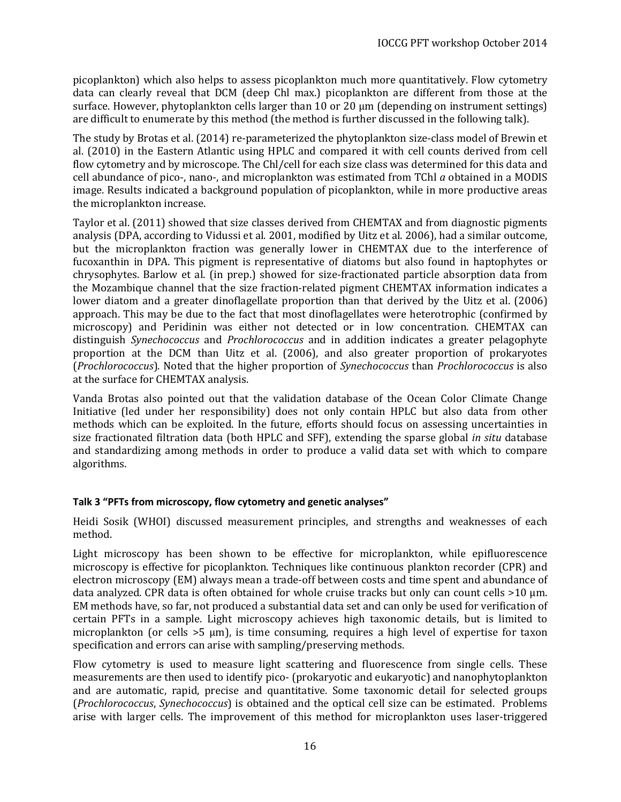picoplankton) which also helps to assess picoplankton much more quantitatively. Flow cytometry data can clearly reveal that DCM (deep Chl max.) picoplankton are different from those at the surface. However, phytoplankton cells larger than 10 or 20  $\mu$ m (depending on instrument settings) are difficult to enumerate by this method (the method is further discussed in the following talk).

The study by Brotas et al. (2014) re-parameterized the phytoplankton size-class model of Brewin et al. (2010) in the Eastern Atlantic using HPLC and compared it with cell counts derived from cell flow cytometry and by microscope. The Chl/cell for each size class was determined for this data and cell abundance of pico-, nano-, and microplankton was estimated from TChl *a* obtained in a MODIS image. Results indicated a background population of picoplankton, while in more productive areas the microplankton increase.

Taylor et al. (2011) showed that size classes derived from CHEMTAX and from diagnostic pigments analysis (DPA, according to Vidussi et al. 2001, modified by Uitz et al. 2006), had a similar outcome, but the microplankton fraction was generally lower in CHEMTAX due to the interference of fucoxanthin in DPA. This pigment is representative of diatoms but also found in haptophytes or chrysophytes. Barlow et al. (in prep.) showed for size-fractionated particle absorption data from the Mozambique channel that the size fraction-related pigment CHEMTAX information indicates a lower diatom and a greater dinoflagellate proportion than that derived by the Uitz et al. (2006) approach. This may be due to the fact that most dinoflagellates were heterotrophic (confirmed by microscopy) and Peridinin was either not detected or in low concentration. CHEMTAX can distinguish *Synechococcus* and *Prochlorococcus* and in addition indicates a greater pelagophyte proportion at the DCM than Uitz et al. (2006), and also greater proportion of prokaryotes (*Prochlorococcus*). Noted that the higher proportion of *Synechococcus* than *Prochlorococcus* is also at the surface for CHEMTAX analysis.

Vanda Brotas also pointed out that the validation database of the Ocean Color Climate Change Initiative (led under her responsibility) does not only contain HPLC but also data from other methods which can be exploited. In the future, efforts should focus on assessing uncertainties in size fractionated filtration data (both HPLC and SFF), extending the sparse global *in situ* database and standardizing among methods in order to produce a valid data set with which to compare algorithms.

### <span id="page-15-0"></span>**Talk 3 "PFTs from microscopy, flow cytometry and genetic analyses"**

Heidi Sosik (WHOI) discussed measurement principles, and strengths and weaknesses of each method.

Light microscopy has been shown to be effective for microplankton, while epifluorescence microscopy is effective for picoplankton. Techniques like continuous plankton recorder (CPR) and electron microscopy (EM) always mean a trade-off between costs and time spent and abundance of data analyzed. CPR data is often obtained for whole cruise tracks but only can count cells >10 µm. EM methods have, so far, not produced a substantial data set and can only be used for verification of certain PFTs in a sample. Light microscopy achieves high taxonomic details, but is limited to microplankton (or cells >5 µm), is time consuming, requires a high level of expertise for taxon specification and errors can arise with sampling/preserving methods.

Flow cytometry is used to measure light scattering and fluorescence from single cells. These measurements are then used to identify pico- (prokaryotic and eukaryotic) and nanophytoplankton and are automatic, rapid, precise and quantitative. Some taxonomic detail for selected groups (*Prochlorococcus*, *Synechococcus*) is obtained and the optical cell size can be estimated. Problems arise with larger cells. The improvement of this method for microplankton uses laser-triggered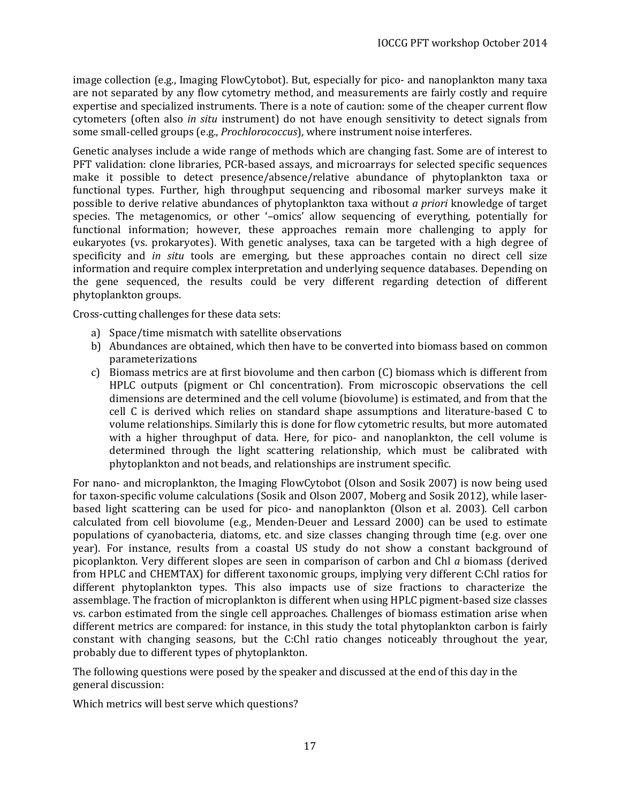image collection (e.g., Imaging FlowCytobot). But, especially for pico- and nanoplankton many taxa are not separated by any flow cytometry method, and measurements are fairly costly and require expertise and specialized instruments. There is a note of caution: some of the cheaper current flow cytometers (often also *in situ* instrument) do not have enough sensitivity to detect signals from some small-celled groups (e.g., *Prochlorococcus*), where instrument noise interferes.

Genetic analyses include a wide range of methods which are changing fast. Some are of interest to PFT validation: clone libraries, PCR-based assays, and microarrays for selected specific sequences make it possible to detect presence/absence/relative abundance of phytoplankton taxa or functional types. Further, high throughput sequencing and ribosomal marker surveys make it possible to derive relative abundances of phytoplankton taxa without *a priori* knowledge of target species. The metagenomics, or other '–omics' allow sequencing of everything, potentially for functional information; however, these approaches remain more challenging to apply for eukaryotes (vs. prokaryotes). With genetic analyses, taxa can be targeted with a high degree of specificity and *in situ* tools are emerging, but these approaches contain no direct cell size information and require complex interpretation and underlying sequence databases. Depending on the gene sequenced, the results could be very different regarding detection of different phytoplankton groups.

Cross-cutting challenges for these data sets:

- a) Space/time mismatch with satellite observations
- b) Abundances are obtained, which then have to be converted into biomass based on common parameterizations
- c) Biomass metrics are at first biovolume and then carbon (C) biomass which is different from HPLC outputs (pigment or Chl concentration). From microscopic observations the cell dimensions are determined and the cell volume (biovolume) is estimated, and from that the cell C is derived which relies on standard shape assumptions and literature-based C to volume relationships. Similarly this is done for flow cytometric results, but more automated with a higher throughput of data. Here, for pico- and nanoplankton, the cell volume is determined through the light scattering relationship, which must be calibrated with phytoplankton and not beads, and relationships are instrument specific.

For nano- and microplankton, the Imaging FlowCytobot (Olson and Sosik 2007) is now being used for taxon-specific volume calculations (Sosik and Olson 2007, Moberg and Sosik 2012), while laserbased light scattering can be used for pico- and nanoplankton (Olson et al. 2003). Cell carbon calculated from cell biovolume (e.g., Menden-Deuer and Lessard 2000) can be used to estimate populations of cyanobacteria, diatoms, etc. and size classes changing through time (e.g. over one year). For instance, results from a coastal US study do not show a constant background of picoplankton. Very different slopes are seen in comparison of carbon and Chl *a* biomass (derived from HPLC and CHEMTAX) for different taxonomic groups, implying very different C:Chl ratios for different phytoplankton types. This also impacts use of size fractions to characterize the assemblage. The fraction of microplankton is different when using HPLC pigment-based size classes vs. carbon estimated from the single cell approaches. Challenges of biomass estimation arise when different metrics are compared: for instance, in this study the total phytoplankton carbon is fairly constant with changing seasons, but the C:Chl ratio changes noticeably throughout the year, probably due to different types of phytoplankton.

The following questions were posed by the speaker and discussed at the end of this day in the general discussion:

Which metrics will best serve which questions?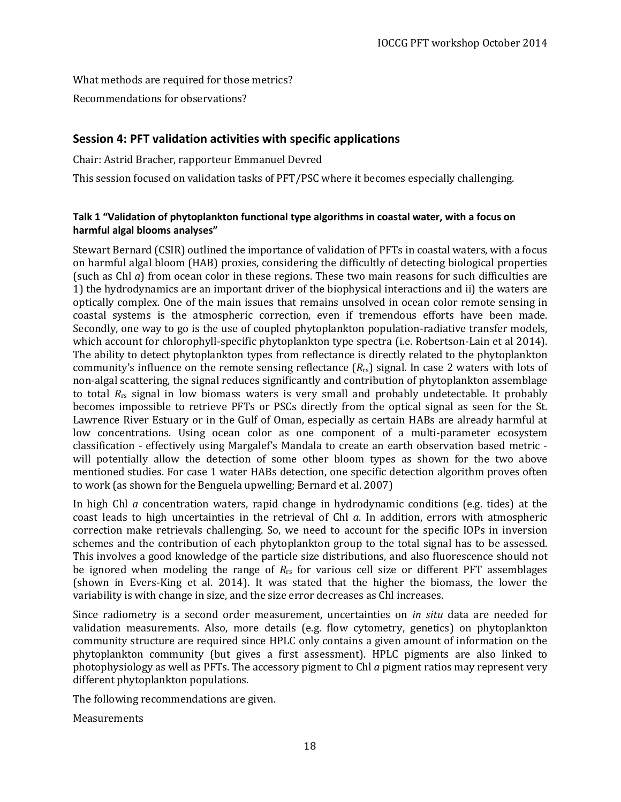What methods are required for those metrics?

Recommendations for observations?

### <span id="page-17-0"></span>**Session 4: PFT validation activities with specific applications**

Chair: Astrid Bracher, rapporteur Emmanuel Devred

This session focused on validation tasks of PFT/PSC where it becomes especially challenging.

### <span id="page-17-1"></span>**Talk 1 "Validation of phytoplankton functional type algorithms in coastal water, with a focus on harmful algal blooms analyses"**

Stewart Bernard (CSIR) outlined the importance of validation of PFTs in coastal waters, with a focus on harmful algal bloom (HAB) proxies, considering the difficultly of detecting biological properties (such as Chl *a*) from ocean color in these regions. These two main reasons for such difficulties are 1) the hydrodynamics are an important driver of the biophysical interactions and ii) the waters are optically complex. One of the main issues that remains unsolved in ocean color remote sensing in coastal systems is the atmospheric correction, even if tremendous efforts have been made. Secondly, one way to go is the use of coupled phytoplankton population-radiative transfer models, which account for chlorophyll-specific phytoplankton type spectra (i.e. Robertson-Lain et al 2014). The ability to detect phytoplankton types from reflectance is directly related to the phytoplankton community's influence on the remote sensing reflectance (*R*rs) signal. In case 2 waters with lots of non-algal scattering, the signal reduces significantly and contribution of phytoplankton assemblage to total  $R_{rs}$  signal in low biomass waters is very small and probably undetectable. It probably becomes impossible to retrieve PFTs or PSCs directly from the optical signal as seen for the St. Lawrence River Estuary or in the Gulf of Oman, especially as certain HABs are already harmful at low concentrations. Using ocean color as one component of a multi-parameter ecosystem classification - effectively using Margalef's Mandala to create an earth observation based metric will potentially allow the detection of some other bloom types as shown for the two above mentioned studies. For case 1 water HABs detection, one specific detection algorithm proves often to work (as shown for the Benguela upwelling; Bernard et al. 2007)

In high Chl *a* concentration waters, rapid change in hydrodynamic conditions (e.g. tides) at the coast leads to high uncertainties in the retrieval of Chl *a*. In addition, errors with atmospheric correction make retrievals challenging. So, we need to account for the specific IOPs in inversion schemes and the contribution of each phytoplankton group to the total signal has to be assessed. This involves a good knowledge of the particle size distributions, and also fluorescence should not be ignored when modeling the range of *R*rs for various cell size or different PFT assemblages (shown in Evers-King et al. 2014). It was stated that the higher the biomass, the lower the variability is with change in size, and the size error decreases as Chl increases.

Since radiometry is a second order measurement, uncertainties on *in situ* data are needed for validation measurements. Also, more details (e.g. flow cytometry, genetics) on phytoplankton community structure are required since HPLC only contains a given amount of information on the phytoplankton community (but gives a first assessment). HPLC pigments are also linked to photophysiology as well as PFTs. The accessory pigment to Chl *a* pigment ratios may represent very different phytoplankton populations.

The following recommendations are given.

Measurements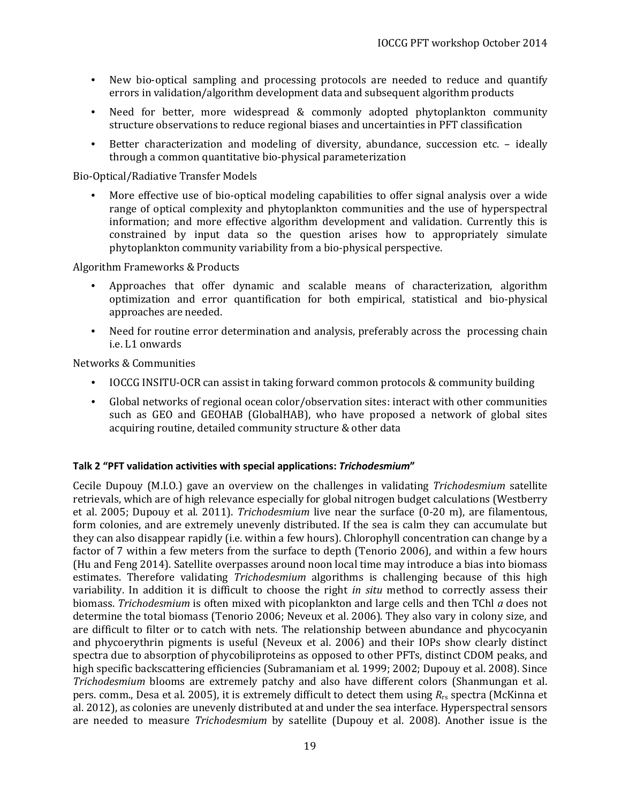- New bio-optical sampling and processing protocols are needed to reduce and quantify errors in validation/algorithm development data and subsequent algorithm products
- Need for better, more widespread & commonly adopted phytoplankton community structure observations to reduce regional biases and uncertainties in PFT classification
- Better characterization and modeling of diversity, abundance, succession etc. ideally through a common quantitative bio-physical parameterization

Bio-Optical/Radiative Transfer Models

• More effective use of bio-optical modeling capabilities to offer signal analysis over a wide range of optical complexity and phytoplankton communities and the use of hyperspectral information; and more effective algorithm development and validation. Currently this is constrained by input data so the question arises how to appropriately simulate phytoplankton community variability from a bio-physical perspective.

Algorithm Frameworks & Products

- Approaches that offer dynamic and scalable means of characterization, algorithm optimization and error quantification for both empirical, statistical and bio-physical approaches are needed.
- Need for routine error determination and analysis, preferably across the processing chain i.e. L1 onwards

Networks & Communities

- IOCCG INSITU-OCR can assist in taking forward common protocols & community building
- Global networks of regional ocean color/observation sites: interact with other communities such as GEO and GEOHAB (GlobalHAB), who have proposed a network of global sites acquiring routine, detailed community structure & other data

#### <span id="page-18-0"></span>**Talk 2 "PFT validation activities with special applications:** *Trichodesmium***"**

Cecile Dupouy (M.I.O.) gave an overview on the challenges in validating *Trichodesmium* satellite retrievals, which are of high relevance especially for global nitrogen budget calculations (Westberry et al. 2005; Dupouy et al. 2011). *Trichodesmium* live near the surface (0-20 m), are filamentous, form colonies, and are extremely unevenly distributed. If the sea is calm they can accumulate but they can also disappear rapidly (i.e. within a few hours). Chlorophyll concentration can change by a factor of 7 within a few meters from the surface to depth (Tenorio 2006), and within a few hours (Hu and Feng 2014). Satellite overpasses around noon local time may introduce a bias into biomass estimates. Therefore validating *Trichodesmium* algorithms is challenging because of this high variability. In addition it is difficult to choose the right *in situ* method to correctly assess their biomass. *Trichodesmium* is often mixed with picoplankton and large cells and then TChl *a* does not determine the total biomass (Tenorio 2006; Neveux et al. 2006). They also vary in colony size, and are difficult to filter or to catch with nets. The relationship between abundance and phycocyanin and phycoerythrin pigments is useful (Neveux et al. 2006) and their IOPs show clearly distinct spectra due to absorption of phycobiliproteins as opposed to other PFTs, distinct CDOM peaks, and high specific backscattering efficiencies (Subramaniam et al. 1999; 2002; Dupouy et al. 2008). Since *Trichodesmium* blooms are extremely patchy and also have different colors (Shanmungan et al. pers. comm., Desa et al. 2005), it is extremely difficult to detect them using *R*rs spectra (McKinna et al. 2012), as colonies are unevenly distributed at and under the sea interface. Hyperspectral sensors are needed to measure *Trichodesmium* by satellite (Dupouy et al. 2008). Another issue is the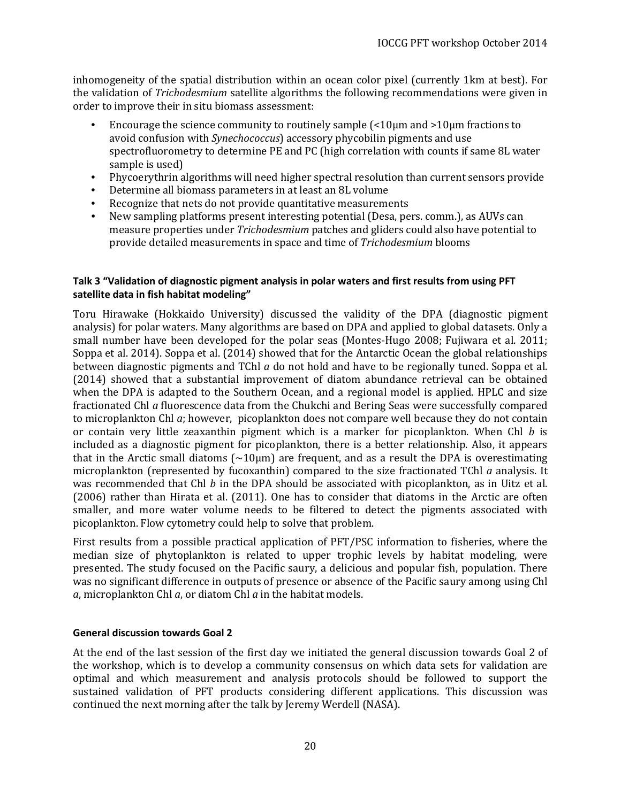inhomogeneity of the spatial distribution within an ocean color pixel (currently 1km at best). For the validation of *Trichodesmium* satellite algorithms the following recommendations were given in order to improve their in situ biomass assessment:

- Encourage the science community to routinely sample (<10µm and >10µm fractions to avoid confusion with *Synechococcus*) accessory phycobilin pigments and use spectrofluorometry to determine PE and PC (high correlation with counts if same 8L water sample is used)
- Phycoerythrin algorithms will need higher spectral resolution than current sensors provide
- Determine all biomass parameters in at least an 8L volume
- Recognize that nets do not provide quantitative measurements<br>• New sampling platforms present interesting potential (Desa, pe
- New sampling platforms present interesting potential (Desa, pers. comm.), as AUVs can measure properties under *Trichodesmium* patches and gliders could also have potential to provide detailed measurements in space and time of *Trichodesmium* blooms

#### <span id="page-19-0"></span>**Talk 3 "Validation of diagnostic pigment analysis in polar waters and first results from using PFT satellite data in fish habitat modeling"**

Toru Hirawake (Hokkaido University) discussed the validity of the DPA (diagnostic pigment analysis) for polar waters. Many algorithms are based on DPA and applied to global datasets. Only a small number have been developed for the polar seas (Montes-Hugo 2008; Fujiwara et al. 2011; Soppa et al. 2014). Soppa et al. (2014) showed that for the Antarctic Ocean the global relationships between diagnostic pigments and TChl *a* do not hold and have to be regionally tuned. Soppa et al. (2014) showed that a substantial improvement of diatom abundance retrieval can be obtained when the DPA is adapted to the Southern Ocean, and a regional model is applied. HPLC and size fractionated Chl *a* fluorescence data from the Chukchi and Bering Seas were successfully compared to microplankton Chl *a*; however, picoplankton does not compare well because they do not contain or contain very little zeaxanthin pigment which is a marker for picoplankton. When Chl *b* is included as a diagnostic pigment for picoplankton, there is a better relationship. Also, it appears that in the Arctic small diatoms  $\sim 10 \mu m$  are frequent, and as a result the DPA is overestimating microplankton (represented by fucoxanthin) compared to the size fractionated TChl *a* analysis. It was recommended that Chl *b* in the DPA should be associated with picoplankton, as in Uitz et al. (2006) rather than Hirata et al. (2011). One has to consider that diatoms in the Arctic are often smaller, and more water volume needs to be filtered to detect the pigments associated with picoplankton. Flow cytometry could help to solve that problem.

First results from a possible practical application of PFT/PSC information to fisheries, where the median size of phytoplankton is related to upper trophic levels by habitat modeling, were presented. The study focused on the Pacific saury, a delicious and popular fish, population. There was no significant difference in outputs of presence or absence of the Pacific saury among using Chl *a*, microplankton Chl *a*, or diatom Chl *a* in the habitat models.

#### <span id="page-19-1"></span>**General discussion towards Goal 2**

At the end of the last session of the first day we initiated the general discussion towards Goal 2 of the workshop, which is to develop a community consensus on which data sets for validation are optimal and which measurement and analysis protocols should be followed to support the sustained validation of PFT products considering different applications. This discussion was continued the next morning after the talk by Jeremy Werdell (NASA).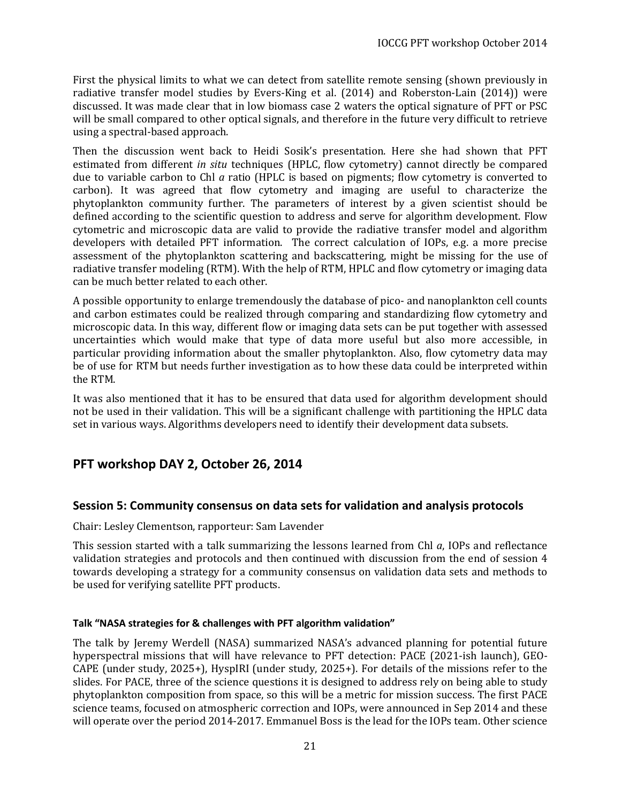First the physical limits to what we can detect from satellite remote sensing (shown previously in radiative transfer model studies by Evers-King et al. (2014) and Roberston-Lain (2014)) were discussed. It was made clear that in low biomass case 2 waters the optical signature of PFT or PSC will be small compared to other optical signals, and therefore in the future very difficult to retrieve using a spectral-based approach.

Then the discussion went back to Heidi Sosik's presentation. Here she had shown that PFT estimated from different *in situ* techniques (HPLC, flow cytometry) cannot directly be compared due to variable carbon to Chl *a* ratio (HPLC is based on pigments; flow cytometry is converted to carbon). It was agreed that flow cytometry and imaging are useful to characterize the phytoplankton community further. The parameters of interest by a given scientist should be defined according to the scientific question to address and serve for algorithm development. Flow cytometric and microscopic data are valid to provide the radiative transfer model and algorithm developers with detailed PFT information. The correct calculation of IOPs, e.g. a more precise assessment of the phytoplankton scattering and backscattering, might be missing for the use of radiative transfer modeling (RTM). With the help of RTM, HPLC and flow cytometry or imaging data can be much better related to each other.

A possible opportunity to enlarge tremendously the database of pico- and nanoplankton cell counts and carbon estimates could be realized through comparing and standardizing flow cytometry and microscopic data. In this way, different flow or imaging data sets can be put together with assessed uncertainties which would make that type of data more useful but also more accessible, in particular providing information about the smaller phytoplankton. Also, flow cytometry data may be of use for RTM but needs further investigation as to how these data could be interpreted within the RTM.

It was also mentioned that it has to be ensured that data used for algorithm development should not be used in their validation. This will be a significant challenge with partitioning the HPLC data set in various ways. Algorithms developers need to identify their development data subsets.

### <span id="page-20-0"></span>**PFT workshop DAY 2, October 26, 2014**

### <span id="page-20-1"></span>**Session 5: Community consensus on data sets for validation and analysis protocols**

Chair: Lesley Clementson, rapporteur: Sam Lavender

This session started with a talk summarizing the lessons learned from Chl *a*, IOPs and reflectance validation strategies and protocols and then continued with discussion from the end of session 4 towards developing a strategy for a community consensus on validation data sets and methods to be used for verifying satellite PFT products.

### <span id="page-20-2"></span>**Talk "NASA strategies for & challenges with PFT algorithm validation"**

The talk by Jeremy Werdell (NASA) summarized NASA's advanced planning for potential future hyperspectral missions that will have relevance to PFT detection: PACE (2021-ish launch), GEO-CAPE (under study, 2025+), HyspIRI (under study, 2025+). For details of the missions refer to the slides. For PACE, three of the science questions it is designed to address rely on being able to study phytoplankton composition from space, so this will be a metric for mission success. The first PACE science teams, focused on atmospheric correction and IOPs, were announced in Sep 2014 and these will operate over the period 2014-2017. Emmanuel Boss is the lead for the IOPs team. Other science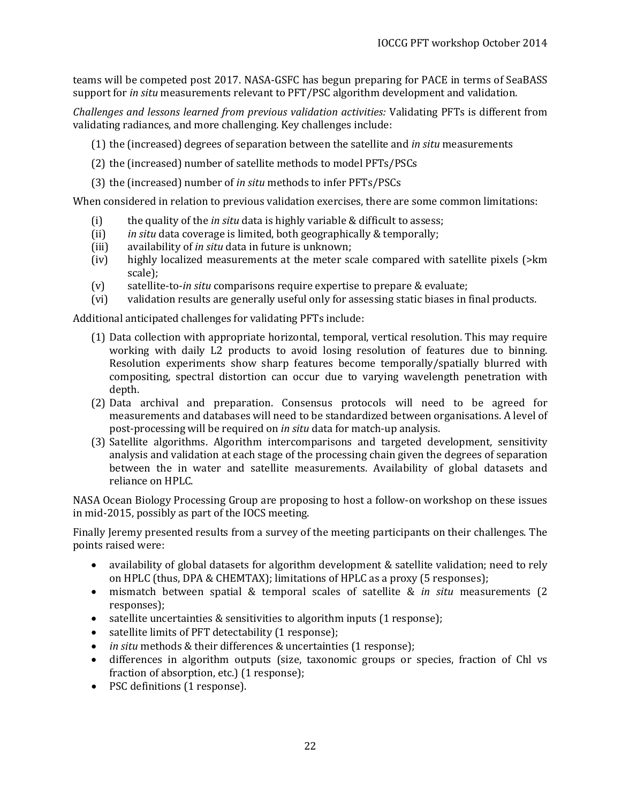teams will be competed post 2017. NASA-GSFC has begun preparing for PACE in terms of SeaBASS support for *in situ* measurements relevant to PFT/PSC algorithm development and validation.

*Challenges and lessons learned from previous validation activities:* Validating PFTs is different from validating radiances, and more challenging. Key challenges include:

- (1) the (increased) degrees of separation between the satellite and *in situ* measurements
- (2) the (increased) number of satellite methods to model PFTs/PSCs
- (3) the (increased) number of *in situ* methods to infer PFTs/PSCs

When considered in relation to previous validation exercises, there are some common limitations:

- (i) the quality of the *in situ* data is highly variable & difficult to assess;<br>(ii) *in situ* data coverage is limited, both geographically & temporally;
- (ii) *in situ* data coverage is limited, both geographically & temporally;<br>(iii) availability of *in situ* data in future is unknown;
- (iii) availability of *in situ* data in future is unknown;<br>(iv) highly localized measurements at the meter sc
- highly localized measurements at the meter scale compared with satellite pixels ( $>\rm km$ ) scale);
- 
- (v) satellite-to-*in situ* comparisons require expertise to prepare & evaluate; validation results are generally useful only for assessing static biases in final products.

Additional anticipated challenges for validating PFTs include:

- (1) Data collection with appropriate horizontal, temporal, vertical resolution. This may require working with daily L2 products to avoid losing resolution of features due to binning. Resolution experiments show sharp features become temporally/spatially blurred with compositing, spectral distortion can occur due to varying wavelength penetration with depth.
- (2) Data archival and preparation. Consensus protocols will need to be agreed for measurements and databases will need to be standardized between organisations. A level of post-processing will be required on *in situ* data for match-up analysis.
- (3) Satellite algorithms. Algorithm intercomparisons and targeted development, sensitivity analysis and validation at each stage of the processing chain given the degrees of separation between the in water and satellite measurements. Availability of global datasets and reliance on HPLC.

NASA Ocean Biology Processing Group are proposing to host a follow-on workshop on these issues in mid-2015, possibly as part of the IOCS meeting.

Finally Jeremy presented results from a survey of the meeting participants on their challenges. The points raised were:

- availability of global datasets for algorithm development & satellite validation; need to rely on HPLC (thus, DPA & CHEMTAX); limitations of HPLC as a proxy (5 responses);
- mismatch between spatial & temporal scales of satellite & *in situ* measurements (2 responses);
- satellite uncertainties & sensitivities to algorithm inputs (1 response);
- satellite limits of PFT detectability (1 response);
- *in situ* methods & their differences & uncertainties (1 response);
- differences in algorithm outputs (size, taxonomic groups or species, fraction of Chl vs fraction of absorption, etc.) (1 response);
- PSC definitions (1 response).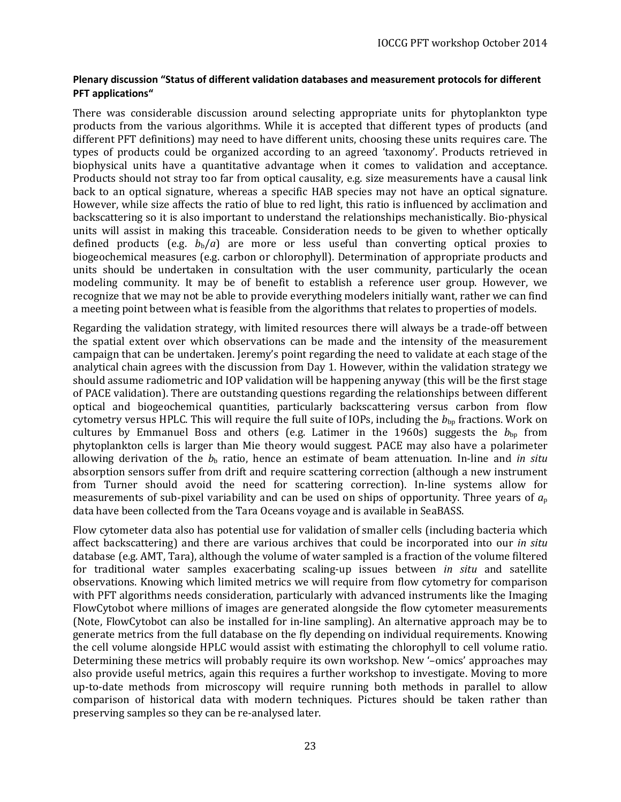#### <span id="page-22-0"></span>**Plenary discussion "Status of different validation databases and measurement protocols for different PFT applications"**

There was considerable discussion around selecting appropriate units for phytoplankton type products from the various algorithms. While it is accepted that different types of products (and different PFT definitions) may need to have different units, choosing these units requires care. The types of products could be organized according to an agreed 'taxonomy'. Products retrieved in biophysical units have a quantitative advantage when it comes to validation and acceptance. Products should not stray too far from optical causality, e.g. size measurements have a causal link back to an optical signature, whereas a specific HAB species may not have an optical signature. However, while size affects the ratio of blue to red light, this ratio is influenced by acclimation and backscattering so it is also important to understand the relationships mechanistically. Bio-physical units will assist in making this traceable. Consideration needs to be given to whether optically defined products (e.g.  $b<sub>b</sub>/a$ ) are more or less useful than converting optical proxies to biogeochemical measures (e.g. carbon or chlorophyll). Determination of appropriate products and units should be undertaken in consultation with the user community, particularly the ocean modeling community. It may be of benefit to establish a reference user group. However, we recognize that we may not be able to provide everything modelers initially want, rather we can find a meeting point between what is feasible from the algorithms that relates to properties of models.

Regarding the validation strategy, with limited resources there will always be a trade-off between the spatial extent over which observations can be made and the intensity of the measurement campaign that can be undertaken. Jeremy's point regarding the need to validate at each stage of the analytical chain agrees with the discussion from Day 1. However, within the validation strategy we should assume radiometric and IOP validation will be happening anyway (this will be the first stage of PACE validation). There are outstanding questions regarding the relationships between different optical and biogeochemical quantities, particularly backscattering versus carbon from flow cytometry versus HPLC. This will require the full suite of IOPs, including the  $b_{\text{bp}}$  fractions. Work on cultures by Emmanuel Boss and others (e.g. Latimer in the 1960s) suggests the  $b_{bp}$  from phytoplankton cells is larger than Mie theory would suggest. PACE may also have a polarimeter allowing derivation of the  $b<sub>b</sub>$  ratio, hence an estimate of beam attenuation. In-line and *in situ* absorption sensors suffer from drift and require scattering correction (although a new instrument from Turner should avoid the need for scattering correction). In-line systems allow for measurements of sub-pixel variability and can be used on ships of opportunity. Three years of *a*<sup>p</sup> data have been collected from the Tara Oceans voyage and is available in SeaBASS.

Flow cytometer data also has potential use for validation of smaller cells (including bacteria which affect backscattering) and there are various archives that could be incorporated into our *in situ* database (e.g. AMT, Tara), although the volume of water sampled is a fraction of the volume filtered for traditional water samples exacerbating scaling-up issues between *in situ* and satellite observations. Knowing which limited metrics we will require from flow cytometry for comparison with PFT algorithms needs consideration, particularly with advanced instruments like the Imaging FlowCytobot where millions of images are generated alongside the flow cytometer measurements (Note, FlowCytobot can also be installed for in-line sampling). An alternative approach may be to generate metrics from the full database on the fly depending on individual requirements. Knowing the cell volume alongside HPLC would assist with estimating the chlorophyll to cell volume ratio. Determining these metrics will probably require its own workshop. New '–omics' approaches may also provide useful metrics, again this requires a further workshop to investigate. Moving to more up-to-date methods from microscopy will require running both methods in parallel to allow comparison of historical data with modern techniques. Pictures should be taken rather than preserving samples so they can be re-analysed later.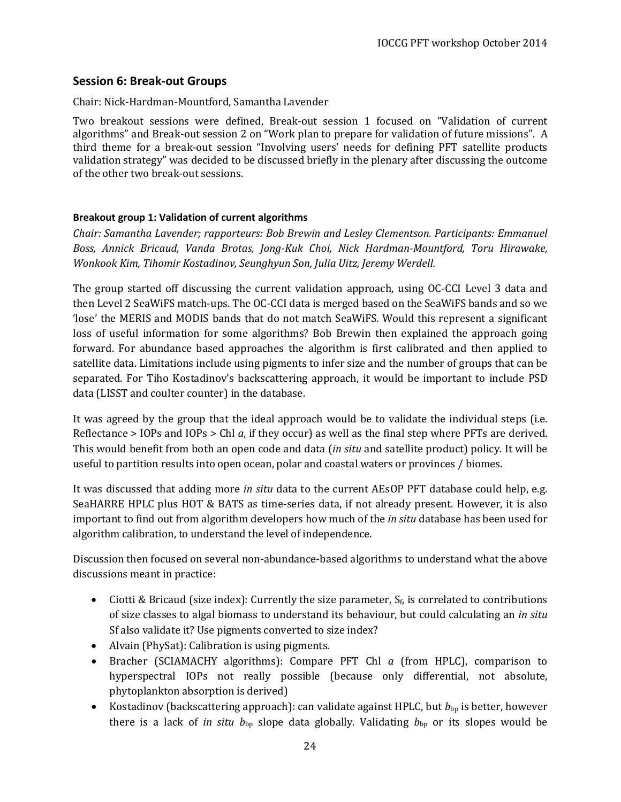### <span id="page-23-0"></span>**Session 6: Break-out Groups**

Chair: Nick-Hardman-Mountford, Samantha Lavender

Two breakout sessions were defined, Break-out session 1 focused on "Validation of current algorithms" and Break-out session 2 on "Work plan to prepare for validation of future missions". A third theme for a break-out session "Involving users' needs for defining PFT satellite products validation strategy" was decided to be discussed briefly in the plenary after discussing the outcome of the other two break-out sessions.

### <span id="page-23-1"></span>**Breakout group 1: Validation of current algorithms**

*Chair: Samantha Lavender; rapporteurs: Bob Brewin and Lesley Clementson. Participants: Emmanuel Boss, Annick Bricaud, Vanda Brotas, Jong-Kuk Choi, Nick Hardman-Mountford, Toru Hirawake, Wonkook Kim, Tihomir Kostadinov, Seunghyun Son, Julia Uitz, Jeremy Werdell.*

The group started off discussing the current validation approach, using OC-CCI Level 3 data and then Level 2 SeaWiFS match-ups. The OC-CCI data is merged based on the SeaWiFS bands and so we 'lose' the MERIS and MODIS bands that do not match SeaWiFS. Would this represent a significant loss of useful information for some algorithms? Bob Brewin then explained the approach going forward. For abundance based approaches the algorithm is first calibrated and then applied to satellite data. Limitations include using pigments to infer size and the number of groups that can be separated. For Tiho Kostadinov's backscattering approach, it would be important to include PSD data (LISST and coulter counter) in the database.

It was agreed by the group that the ideal approach would be to validate the individual steps (i.e. Reflectance > IOPs and IOPs > Chl *a*, if they occur) as well as the final step where PFTs are derived. This would benefit from both an open code and data (*in situ* and satellite product) policy. It will be useful to partition results into open ocean, polar and coastal waters or provinces / biomes.

It was discussed that adding more *in situ* data to the current AEsOP PFT database could help, e.g. SeaHARRE HPLC plus HOT & BATS as time-series data, if not already present. However, it is also important to find out from algorithm developers how much of the *in situ* database has been used for algorithm calibration, to understand the level of independence.

Discussion then focused on several non-abundance-based algorithms to understand what the above discussions meant in practice:

- Ciotti & Bricaud (size index): Currently the size parameter,  $S_f$  is correlated to contributions of size classes to algal biomass to understand its behaviour, but could calculating an *in situ* Sf also validate it? Use pigments converted to size index?
- Alvain (PhySat): Calibration is using pigments.
- Bracher (SCIAMACHY algorithms): Compare PFT Chl *a* (from HPLC), comparison to hyperspectral IOPs not really possible (because only differential, not absolute, phytoplankton absorption is derived)
- Kostadinov (backscattering approach): can validate against HPLC, but  $b_{bp}$  is better, however there is a lack of *in situ*  $b_{bp}$  slope data globally. Validating  $b_{bp}$  or its slopes would be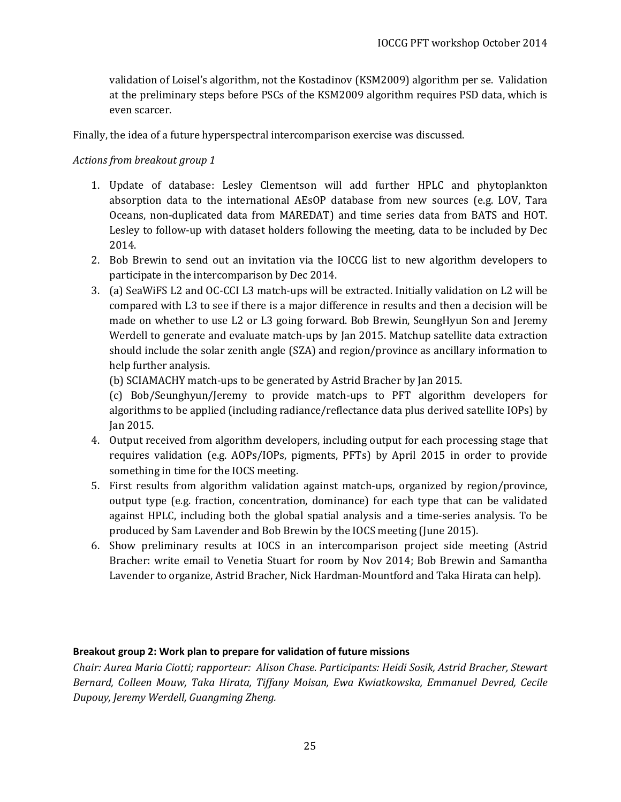validation of Loisel's algorithm, not the Kostadinov (KSM2009) algorithm per se. Validation at the preliminary steps before PSCs of the KSM2009 algorithm requires PSD data, which is even scarcer.

Finally, the idea of a future hyperspectral intercomparison exercise was discussed.

### *Actions from breakout group 1*

- 1. Update of database: Lesley Clementson will add further HPLC and phytoplankton absorption data to the international AEsOP database from new sources (e.g. LOV, Tara Oceans, non-duplicated data from MAREDAT) and time series data from BATS and HOT. Lesley to follow-up with dataset holders following the meeting, data to be included by Dec 2014.
- 2. Bob Brewin to send out an invitation via the IOCCG list to new algorithm developers to participate in the intercomparison by Dec 2014.
- 3. (a) SeaWiFS L2 and OC-CCI L3 match-ups will be extracted. Initially validation on L2 will be compared with L3 to see if there is a major difference in results and then a decision will be made on whether to use L2 or L3 going forward. Bob Brewin, SeungHyun Son and Jeremy Werdell to generate and evaluate match-ups by Jan 2015. Matchup satellite data extraction should include the solar zenith angle (SZA) and region/province as ancillary information to help further analysis.

(b) SCIAMACHY match-ups to be generated by Astrid Bracher by Jan 2015.

(c) Bob/Seunghyun/Jeremy to provide match-ups to PFT algorithm developers for algorithms to be applied (including radiance/reflectance data plus derived satellite IOPs) by Jan 2015.

- 4. Output received from algorithm developers, including output for each processing stage that requires validation (e.g. AOPs/IOPs, pigments, PFTs) by April 2015 in order to provide something in time for the IOCS meeting.
- 5. First results from algorithm validation against match-ups, organized by region/province, output type (e.g. fraction, concentration, dominance) for each type that can be validated against HPLC, including both the global spatial analysis and a time-series analysis. To be produced by Sam Lavender and Bob Brewin by the IOCS meeting (June 2015).
- 6. Show preliminary results at IOCS in an intercomparison project side meeting (Astrid Bracher: write email to Venetia Stuart for room by Nov 2014; Bob Brewin and Samantha Lavender to organize, Astrid Bracher, Nick Hardman-Mountford and Taka Hirata can help).

### <span id="page-24-0"></span>**Breakout group 2: Work plan to prepare for validation of future missions**

*Chair: Aurea Maria Ciotti; rapporteur: Alison Chase. Participants: Heidi Sosik, Astrid Bracher, Stewart Bernard, Colleen Mouw, Taka Hirata, Tiffany Moisan, Ewa Kwiatkowska, Emmanuel Devred, Cecile Dupouy, Jeremy Werdell, Guangming Zheng.*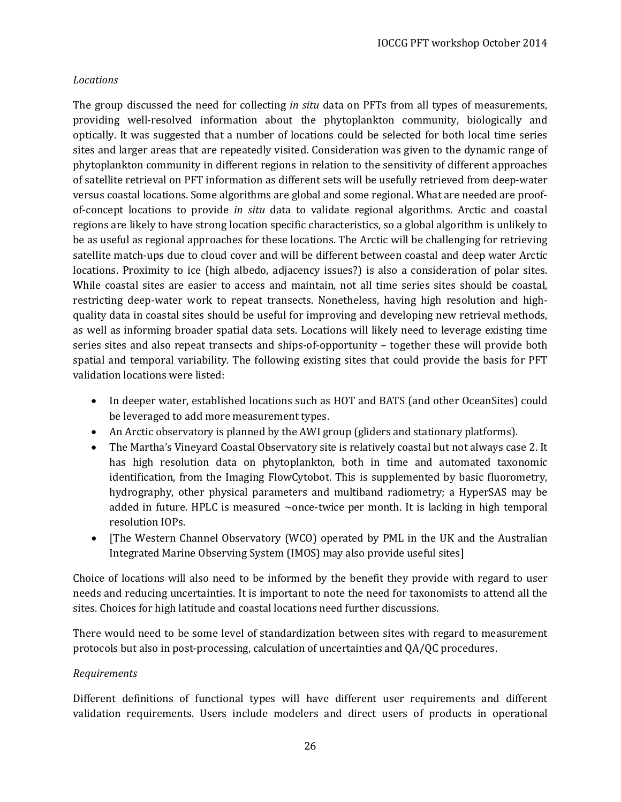### *Locations*

The group discussed the need for collecting *in situ* data on PFTs from all types of measurements, providing well-resolved information about the phytoplankton community, biologically and optically. It was suggested that a number of locations could be selected for both local time series sites and larger areas that are repeatedly visited. Consideration was given to the dynamic range of phytoplankton community in different regions in relation to the sensitivity of different approaches of satellite retrieval on PFT information as different sets will be usefully retrieved from deep-water versus coastal locations. Some algorithms are global and some regional. What are needed are proofof-concept locations to provide *in situ* data to validate regional algorithms. Arctic and coastal regions are likely to have strong location specific characteristics, so a global algorithm is unlikely to be as useful as regional approaches for these locations. The Arctic will be challenging for retrieving satellite match-ups due to cloud cover and will be different between coastal and deep water Arctic locations. Proximity to ice (high albedo, adjacency issues?) is also a consideration of polar sites. While coastal sites are easier to access and maintain, not all time series sites should be coastal, restricting deep-water work to repeat transects. Nonetheless, having high resolution and highquality data in coastal sites should be useful for improving and developing new retrieval methods, as well as informing broader spatial data sets. Locations will likely need to leverage existing time series sites and also repeat transects and ships-of-opportunity – together these will provide both spatial and temporal variability. The following existing sites that could provide the basis for PFT validation locations were listed:

- In deeper water, established locations such as HOT and BATS (and other OceanSites) could be leveraged to add more measurement types.
- An Arctic observatory is planned by the AWI group (gliders and stationary platforms).
- The Martha's Vineyard Coastal Observatory site is relatively coastal but not always case 2. It has high resolution data on phytoplankton, both in time and automated taxonomic identification, from the Imaging FlowCytobot. This is supplemented by basic fluorometry, hydrography, other physical parameters and multiband radiometry; a HyperSAS may be added in future. HPLC is measured  $\sim$ once-twice per month. It is lacking in high temporal resolution IOPs.
- [The Western Channel Observatory (WCO) operated by PML in the UK and the Australian Integrated Marine Observing System (IMOS) may also provide useful sites]

Choice of locations will also need to be informed by the benefit they provide with regard to user needs and reducing uncertainties. It is important to note the need for taxonomists to attend all the sites. Choices for high latitude and coastal locations need further discussions.

There would need to be some level of standardization between sites with regard to measurement protocols but also in post-processing, calculation of uncertainties and QA/QC procedures.

### *Requirements*

Different definitions of functional types will have different user requirements and different validation requirements. Users include modelers and direct users of products in operational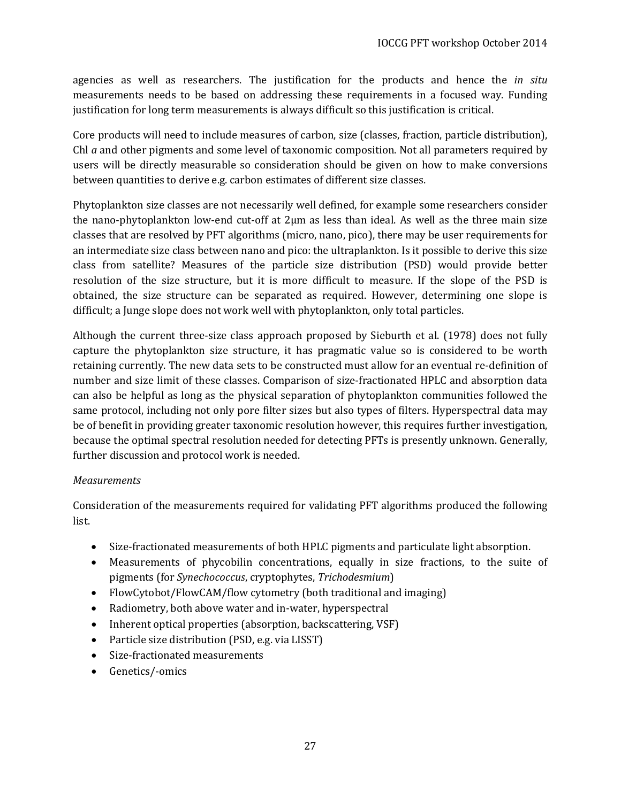agencies as well as researchers. The justification for the products and hence the *in situ* measurements needs to be based on addressing these requirements in a focused way. Funding justification for long term measurements is always difficult so this justification is critical.

Core products will need to include measures of carbon, size (classes, fraction, particle distribution), Chl *a* and other pigments and some level of taxonomic composition. Not all parameters required by users will be directly measurable so consideration should be given on how to make conversions between quantities to derive e.g. carbon estimates of different size classes.

Phytoplankton size classes are not necessarily well defined, for example some researchers consider the nano-phytoplankton low-end cut-off at 2µm as less than ideal. As well as the three main size classes that are resolved by PFT algorithms (micro, nano, pico), there may be user requirements for an intermediate size class between nano and pico: the ultraplankton. Is it possible to derive this size class from satellite? Measures of the particle size distribution (PSD) would provide better resolution of the size structure, but it is more difficult to measure. If the slope of the PSD is obtained, the size structure can be separated as required. However, determining one slope is difficult; a Junge slope does not work well with phytoplankton, only total particles.

Although the current three-size class approach proposed by Sieburth et al. (1978) does not fully capture the phytoplankton size structure, it has pragmatic value so is considered to be worth retaining currently. The new data sets to be constructed must allow for an eventual re-definition of number and size limit of these classes. Comparison of size-fractionated HPLC and absorption data can also be helpful as long as the physical separation of phytoplankton communities followed the same protocol, including not only pore filter sizes but also types of filters. Hyperspectral data may be of benefit in providing greater taxonomic resolution however, this requires further investigation, because the optimal spectral resolution needed for detecting PFTs is presently unknown. Generally, further discussion and protocol work is needed.

### *Measurements*

Consideration of the measurements required for validating PFT algorithms produced the following list.

- Size-fractionated measurements of both HPLC pigments and particulate light absorption.
- Measurements of phycobilin concentrations, equally in size fractions, to the suite of pigments (for *Synechococcus*, cryptophytes, *Trichodesmium*)
- FlowCytobot/FlowCAM/flow cytometry (both traditional and imaging)
- Radiometry, both above water and in-water, hyperspectral
- Inherent optical properties (absorption, backscattering, VSF)
- Particle size distribution (PSD, e.g. via LISST)
- Size-fractionated measurements
- Genetics/-omics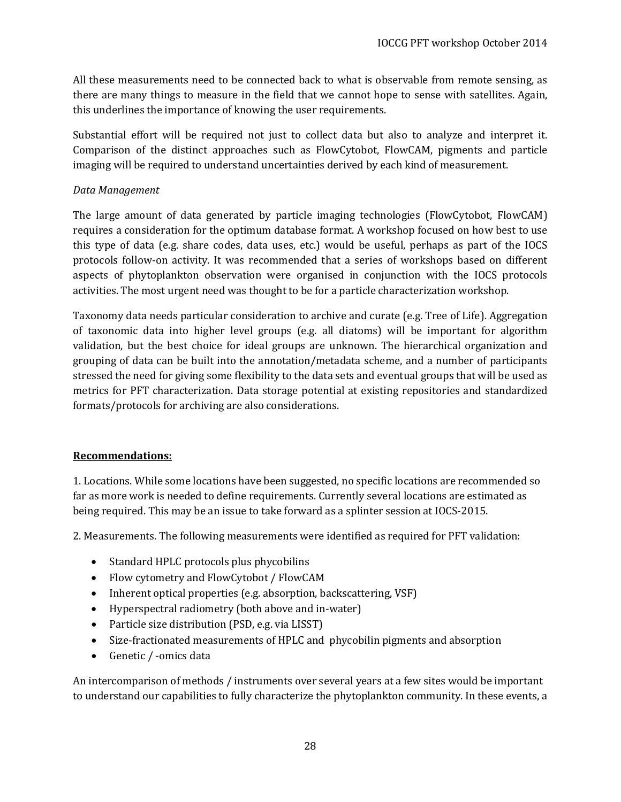All these measurements need to be connected back to what is observable from remote sensing, as there are many things to measure in the field that we cannot hope to sense with satellites. Again, this underlines the importance of knowing the user requirements.

Substantial effort will be required not just to collect data but also to analyze and interpret it. Comparison of the distinct approaches such as FlowCytobot, FlowCAM, pigments and particle imaging will be required to understand uncertainties derived by each kind of measurement.

### *Data Management*

The large amount of data generated by particle imaging technologies (FlowCytobot, FlowCAM) requires a consideration for the optimum database format. A workshop focused on how best to use this type of data (e.g. share codes, data uses, etc.) would be useful, perhaps as part of the IOCS protocols follow-on activity. It was recommended that a series of workshops based on different aspects of phytoplankton observation were organised in conjunction with the IOCS protocols activities. The most urgent need was thought to be for a particle characterization workshop.

Taxonomy data needs particular consideration to archive and curate (e.g. Tree of Life). Aggregation of taxonomic data into higher level groups (e.g. all diatoms) will be important for algorithm validation, but the best choice for ideal groups are unknown. The hierarchical organization and grouping of data can be built into the annotation/metadata scheme, and a number of participants stressed the need for giving some flexibility to the data sets and eventual groups that will be used as metrics for PFT characterization. Data storage potential at existing repositories and standardized formats/protocols for archiving are also considerations.

#### **Recommendations:**

1. Locations. While some locations have been suggested, no specific locations are recommended so far as more work is needed to define requirements. Currently several locations are estimated as being required. This may be an issue to take forward as a splinter session at IOCS-2015.

2. Measurements. The following measurements were identified as required for PFT validation:

- Standard HPLC protocols plus phycobilins
- Flow cytometry and FlowCytobot / FlowCAM
- Inherent optical properties (e.g. absorption, backscattering, VSF)
- Hyperspectral radiometry (both above and in-water)
- Particle size distribution (PSD, e.g. via LISST)
- Size-fractionated measurements of HPLC and phycobilin pigments and absorption
- Genetic / -omics data

An intercomparison of methods / instruments over several years at a few sites would be important to understand our capabilities to fully characterize the phytoplankton community. In these events, a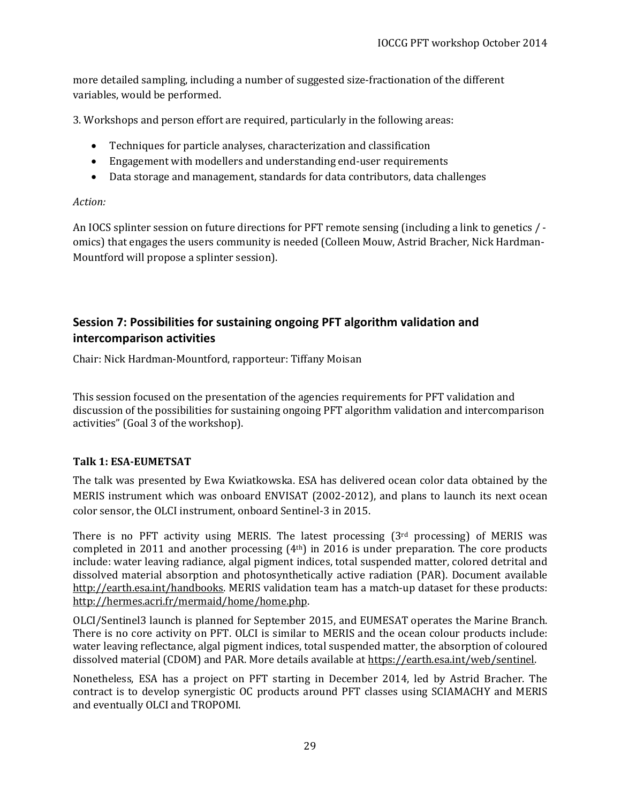more detailed sampling, including a number of suggested size-fractionation of the different variables, would be performed.

3. Workshops and person effort are required, particularly in the following areas:

- Techniques for particle analyses, characterization and classification
- Engagement with modellers and understanding end-user requirements
- Data storage and management, standards for data contributors, data challenges

### *Action:*

An IOCS splinter session on future directions for PFT remote sensing (including a link to genetics / omics) that engages the users community is needed (Colleen Mouw, Astrid Bracher, Nick Hardman-Mountford will propose a splinter session).

### <span id="page-28-0"></span>**Session 7: Possibilities for sustaining ongoing PFT algorithm validation and intercomparison activities**

Chair: Nick Hardman-Mountford, rapporteur: Tiffany Moisan

This session focused on the presentation of the agencies requirements for PFT validation and discussion of the possibilities for sustaining ongoing PFT algorithm validation and intercomparison activities" (Goal 3 of the workshop).

### <span id="page-28-1"></span>**Talk 1: ESA-EUMETSAT**

The talk was presented by Ewa Kwiatkowska. ESA has delivered ocean color data obtained by the MERIS instrument which was onboard ENVISAT (2002-2012), and plans to launch its next ocean color sensor, the OLCI instrument, onboard Sentinel-3 in 2015.

There is no PFT activity using MERIS. The latest processing (3rd processing) of MERIS was completed in 2011 and another processing (4th) in 2016 is under preparation. The core products include: water leaving radiance, algal pigment indices, total suspended matter, colored detrital and dissolved material absorption and photosynthetically active radiation (PAR). Document available [http://earth.esa.int/handbooks.](http://earth.esa.int/handbooks) MERIS validation team has a match-up dataset for these products: [http://hermes.acri.fr/mermaid/home/home.php.](http://hermes.acri.fr/mermaid/home/home.php)

OLCI/Sentinel3 launch is planned for September 2015, and EUMESAT operates the Marine Branch. There is no core activity on PFT. OLCI is similar to MERIS and the ocean colour products include: water leaving reflectance, algal pigment indices, total suspended matter, the absorption of coloured dissolved material (CDOM) and PAR. More details available at [https://earth.esa.int/web/sentinel.](https://earth.esa.int/web/sentinel)

Nonetheless, ESA has a project on PFT starting in December 2014, led by Astrid Bracher. The contract is to develop synergistic OC products around PFT classes using SCIAMACHY and MERIS and eventually OLCI and TROPOMI.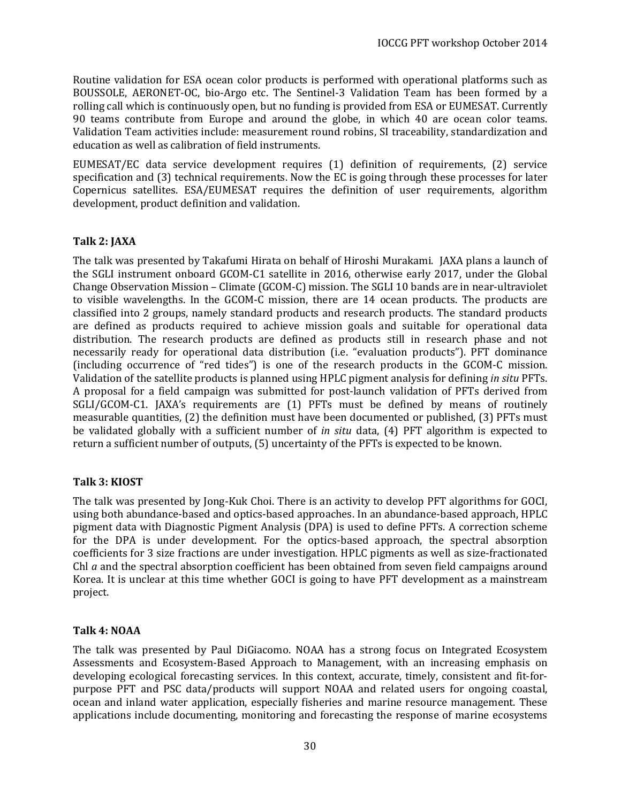Routine validation for ESA ocean color products is performed with operational platforms such as BOUSSOLE, AERONET-OC, bio-Argo etc. The Sentinel-3 Validation Team has been formed by a rolling call which is continuously open, but no funding is provided from ESA or EUMESAT. Currently 90 teams contribute from Europe and around the globe, in which 40 are ocean color teams. Validation Team activities include: measurement round robins, SI traceability, standardization and education as well as calibration of field instruments.

EUMESAT/EC data service development requires (1) definition of requirements, (2) service specification and (3) technical requirements. Now the EC is going through these processes for later Copernicus satellites. ESA/EUMESAT requires the definition of user requirements, algorithm development, product definition and validation.

### <span id="page-29-0"></span>**Talk 2: JAXA**

The talk was presented by Takafumi Hirata on behalf of Hiroshi Murakami. JAXA plans a launch of the SGLI instrument onboard GCOM-C1 satellite in 2016, otherwise early 2017, under the Global Change Observation Mission – Climate (GCOM-C) mission. The SGLI 10 bands are in near-ultraviolet to visible wavelengths. In the GCOM-C mission, there are 14 ocean products. The products are classified into 2 groups, namely standard products and research products. The standard products are defined as products required to achieve mission goals and suitable for operational data distribution. The research products are defined as products still in research phase and not necessarily ready for operational data distribution (i.e. "evaluation products"). PFT dominance (including occurrence of "red tides") is one of the research products in the GCOM-C mission. Validation of the satellite products is planned using HPLC pigment analysis for defining *in situ* PFTs. A proposal for a field campaign was submitted for post-launch validation of PFTs derived from SGLI/GCOM-C1. JAXA's requirements are (1) PFTs must be defined by means of routinely measurable quantities, (2) the definition must have been documented or published, (3) PFTs must be validated globally with a sufficient number of *in situ* data, (4) PFT algorithm is expected to return a sufficient number of outputs, (5) uncertainty of the PFTs is expected to be known.

### <span id="page-29-1"></span>**Talk 3: KIOST**

The talk was presented by Jong-Kuk Choi. There is an activity to develop PFT algorithms for GOCI, using both abundance-based and optics-based approaches. In an abundance-based approach, HPLC pigment data with Diagnostic Pigment Analysis (DPA) is used to define PFTs. A correction scheme for the DPA is under development. For the optics-based approach, the spectral absorption coefficients for 3 size fractions are under investigation. HPLC pigments as well as size-fractionated Chl *a* and the spectral absorption coefficient has been obtained from seven field campaigns around Korea. It is unclear at this time whether GOCI is going to have PFT development as a mainstream project.

### <span id="page-29-2"></span>**Talk 4: NOAA**

The talk was presented by Paul DiGiacomo. NOAA has a strong focus on Integrated Ecosystem Assessments and Ecosystem-Based Approach to Management, with an increasing emphasis on developing ecological forecasting services. In this context, accurate, timely, consistent and fit-forpurpose PFT and PSC data/products will support NOAA and related users for ongoing coastal, ocean and inland water application, especially fisheries and marine resource management. These applications include documenting, monitoring and forecasting the response of marine ecosystems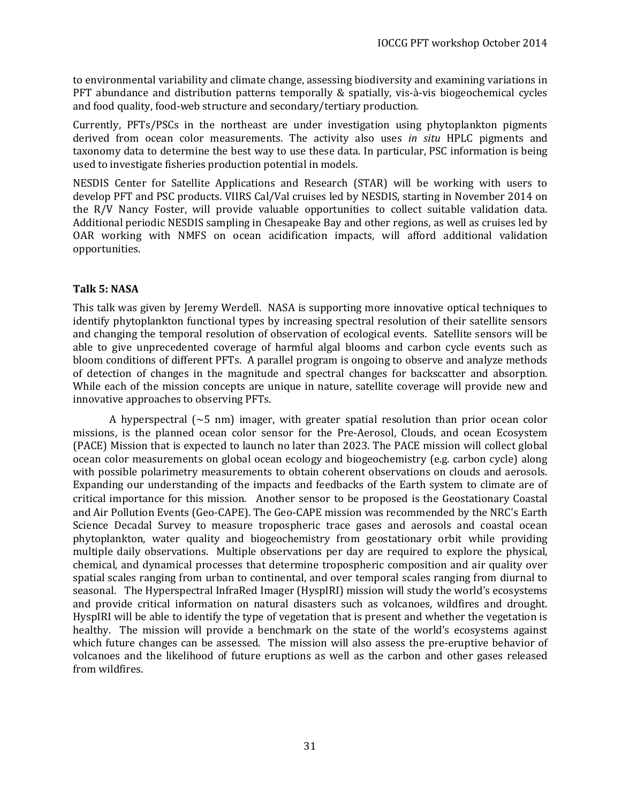to environmental variability and climate change, assessing biodiversity and examining variations in PFT abundance and distribution patterns temporally & spatially, vis-à-vis biogeochemical cycles and food quality, food-web structure and secondary/tertiary production.

Currently, PFTs/PSCs in the northeast are under investigation using phytoplankton pigments derived from ocean color measurements. The activity also uses *in situ* HPLC pigments and taxonomy data to determine the best way to use these data. In particular, PSC information is being used to investigate fisheries production potential in models.

NESDIS Center for Satellite Applications and Research (STAR) will be working with users to develop PFT and PSC products. VIIRS Cal/Val cruises led by NESDIS, starting in November 2014 on the R/V Nancy Foster, will provide valuable opportunities to collect suitable validation data. Additional periodic NESDIS sampling in Chesapeake Bay and other regions, as well as cruises led by OAR working with NMFS on ocean acidification impacts, will afford additional validation opportunities.

### <span id="page-30-0"></span>**Talk 5: NASA**

This talk was given by Jeremy Werdell. NASA is supporting more innovative optical techniques to identify phytoplankton functional types by increasing spectral resolution of their satellite sensors and changing the temporal resolution of observation of ecological events. Satellite sensors will be able to give unprecedented coverage of harmful algal blooms and carbon cycle events such as bloom conditions of different PFTs. A parallel program is ongoing to observe and analyze methods of detection of changes in the magnitude and spectral changes for backscatter and absorption. While each of the mission concepts are unique in nature, satellite coverage will provide new and innovative approaches to observing PFTs.

A hyperspectral  $(\sim 5 \text{ nm})$  imager, with greater spatial resolution than prior ocean color missions, is the planned ocean color sensor for the Pre-Aerosol, Clouds, and ocean Ecosystem (PACE) Mission that is expected to launch no later than 2023. The PACE mission will collect global ocean color measurements on global ocean ecology and biogeochemistry (e.g. carbon cycle) along with possible polarimetry measurements to obtain coherent observations on clouds and aerosols. Expanding our understanding of the impacts and feedbacks of the Earth system to climate are of critical importance for this mission. Another sensor to be proposed is the Geostationary Coastal and Air Pollution Events (Geo-CAPE). The Geo-CAPE mission was recommended by the NRC['s Earth](http://science.nasa.gov/earth-science/decadal-surveys/)  [Science Decadal Survey](http://science.nasa.gov/earth-science/decadal-surveys/) to measure tropospheric trace gases and aerosols and coastal ocean phytoplankton, water quality and biogeochemistry from geostationary orbit while providing multiple daily observations. Multiple observations per day are required to explore the physical, chemical, and dynamical processes that determine tropospheric composition and air quality over spatial scales ranging from urban to continental, and over temporal scales ranging from diurnal to seasonal. The Hyperspectral InfraRed Imager (HyspIRI) mission will study the world's ecosystems and provide critical information on natural disasters such as volcanoes, wildfires and drought. HyspIRI will be able to identify the type of vegetation that is present and whether the vegetation is healthy. The mission will provide a benchmark on the state of the world's ecosystems against which future changes can be assessed. The mission will also assess the pre-eruptive behavior of volcanoes and the likelihood of future eruptions as well as the carbon and other gases released from wildfires.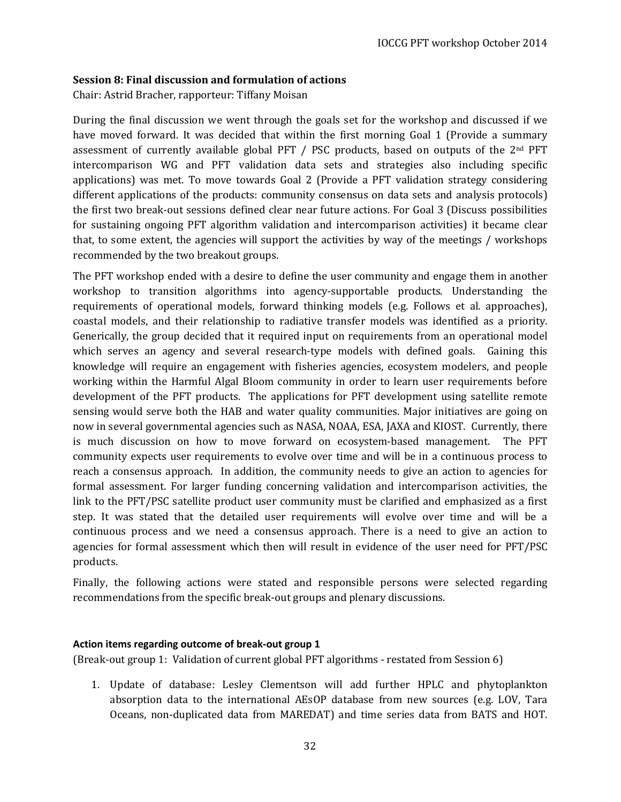#### <span id="page-31-0"></span>**Session 8: Final discussion and formulation of actions**

Chair: Astrid Bracher, rapporteur: Tiffany Moisan

During the final discussion we went through the goals set for the workshop and discussed if we have moved forward. It was decided that within the first morning Goal 1 (Provide a summary assessment of currently available global PFT  $/$  PSC products, based on outputs of the  $2<sup>nd</sup>$  PFT intercomparison WG and PFT validation data sets and strategies also including specific applications) was met. To move towards Goal 2 (Provide a PFT validation strategy considering different applications of the products: community consensus on data sets and analysis protocols) the first two break-out sessions defined clear near future actions. For Goal 3 (Discuss possibilities for sustaining ongoing PFT algorithm validation and intercomparison activities) it became clear that, to some extent, the agencies will support the activities by way of the meetings / workshops recommended by the two breakout groups.

The PFT workshop ended with a desire to define the user community and engage them in another workshop to transition algorithms into agency-supportable products. Understanding the requirements of operational models, forward thinking models (e.g. Follows et al. approaches), coastal models, and their relationship to radiative transfer models was identified as a priority. Generically, the group decided that it required input on requirements from an operational model which serves an agency and several research-type models with defined goals. Gaining this knowledge will require an engagement with fisheries agencies, ecosystem modelers, and people working within the Harmful Algal Bloom community in order to learn user requirements before development of the PFT products. The applications for PFT development using satellite remote sensing would serve both the HAB and water quality communities. Major initiatives are going on now in several governmental agencies such as NASA, NOAA, ESA, JAXA and KIOST. Currently, there is much discussion on how to move forward on ecosystem-based management. The PFT community expects user requirements to evolve over time and will be in a continuous process to reach a consensus approach. In addition, the community needs to give an action to agencies for formal assessment. For larger funding concerning validation and intercomparison activities, the link to the PFT/PSC satellite product user community must be clarified and emphasized as a first step. It was stated that the detailed user requirements will evolve over time and will be a continuous process and we need a consensus approach. There is a need to give an action to agencies for formal assessment which then will result in evidence of the user need for PFT/PSC products.

Finally, the following actions were stated and responsible persons were selected regarding recommendations from the specific break-out groups and plenary discussions.

#### <span id="page-31-1"></span>**Action items regarding outcome of break-out group 1**

(Break-out group 1: Validation of current global PFT algorithms - restated from Session 6)

1. Update of database: Lesley Clementson will add further HPLC and phytoplankton absorption data to the international AEsOP database from new sources (e.g. LOV, Tara Oceans, non-duplicated data from MAREDAT) and time series data from BATS and HOT.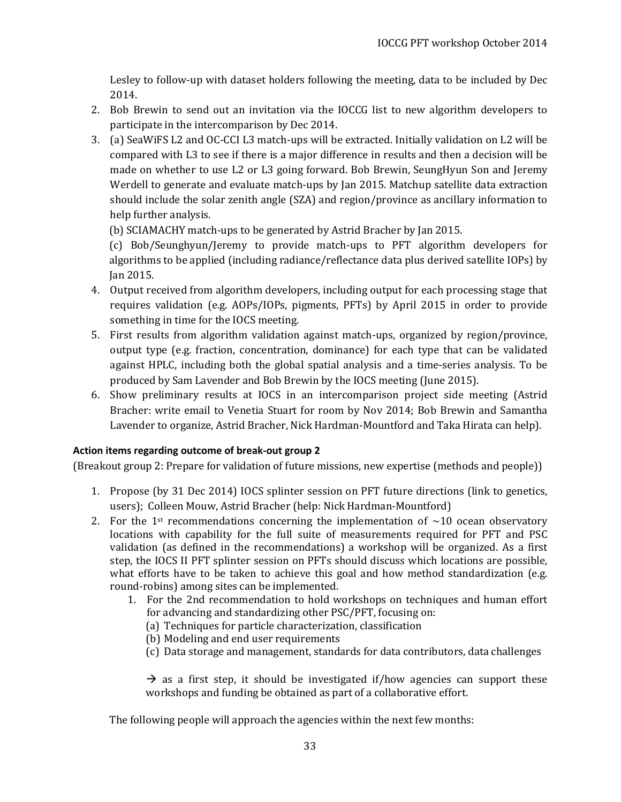Lesley to follow-up with dataset holders following the meeting, data to be included by Dec 2014.

- 2. Bob Brewin to send out an invitation via the IOCCG list to new algorithm developers to participate in the intercomparison by Dec 2014.
- 3. (a) SeaWiFS L2 and OC-CCI L3 match-ups will be extracted. Initially validation on L2 will be compared with L3 to see if there is a major difference in results and then a decision will be made on whether to use L2 or L3 going forward. Bob Brewin, SeungHyun Son and Jeremy Werdell to generate and evaluate match-ups by Jan 2015. Matchup satellite data extraction should include the solar zenith angle (SZA) and region/province as ancillary information to help further analysis.

(b) SCIAMACHY match-ups to be generated by Astrid Bracher by Jan 2015.

(c) Bob/Seunghyun/Jeremy to provide match-ups to PFT algorithm developers for algorithms to be applied (including radiance/reflectance data plus derived satellite IOPs) by Jan 2015.

- 4. Output received from algorithm developers, including output for each processing stage that requires validation (e.g. AOPs/IOPs, pigments, PFTs) by April 2015 in order to provide something in time for the IOCS meeting.
- 5. First results from algorithm validation against match-ups, organized by region/province, output type (e.g. fraction, concentration, dominance) for each type that can be validated against HPLC, including both the global spatial analysis and a time-series analysis. To be produced by Sam Lavender and Bob Brewin by the IOCS meeting (June 2015).
- 6. Show preliminary results at IOCS in an intercomparison project side meeting (Astrid Bracher: write email to Venetia Stuart for room by Nov 2014; Bob Brewin and Samantha Lavender to organize, Astrid Bracher, Nick Hardman-Mountford and Taka Hirata can help).

### <span id="page-32-0"></span>**Action items regarding outcome of break-out group 2**

(Breakout group 2: Prepare for validation of future missions, new expertise (methods and people))

- 1. Propose (by 31 Dec 2014) IOCS splinter session on PFT future directions (link to genetics, users); Colleen Mouw, Astrid Bracher (help: Nick Hardman-Mountford)
- 2. For the 1<sup>st</sup> recommendations concerning the implementation of  $\sim$ 10 ocean observatory locations with capability for the full suite of measurements required for PFT and PSC validation (as defined in the recommendations) a workshop will be organized. As a first step, the IOCS II PFT splinter session on PFTs should discuss which locations are possible, what efforts have to be taken to achieve this goal and how method standardization (e.g. round-robins) among sites can be implemented.
	- 1. For the 2nd recommendation to hold workshops on techniques and human effort for advancing and standardizing other PSC/PFT, focusing on:
		- (a) Techniques for particle characterization, classification
		- (b) Modeling and end user requirements
		- (c) Data storage and management, standards for data contributors, data challenges

 $\rightarrow$  as a first step, it should be investigated if/how agencies can support these workshops and funding be obtained as part of a collaborative effort.

The following people will approach the agencies within the next few months: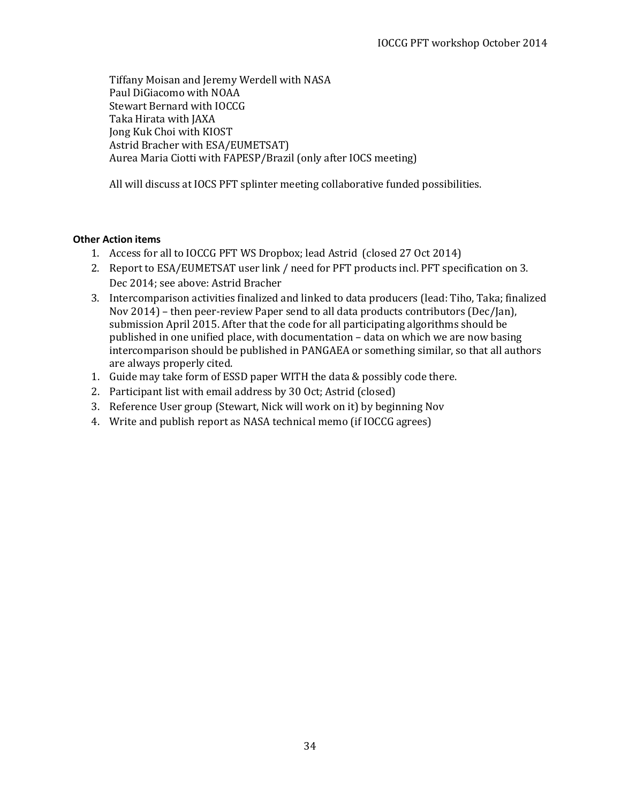Tiffany Moisan and Jeremy Werdell with NASA Paul DiGiacomo with NOAA Stewart Bernard with IOCCG Taka Hirata with JAXA Jong Kuk Choi with KIOST Astrid Bracher with ESA/EUMETSAT) Aurea Maria Ciotti with FAPESP/Brazil (only after IOCS meeting)

All will discuss at IOCS PFT splinter meeting collaborative funded possibilities.

#### <span id="page-33-0"></span>**Other Action items**

- 1. Access for all to IOCCG PFT WS Dropbox; lead Astrid (closed 27 Oct 2014)
- 2. Report to ESA/EUMETSAT user link / need for PFT products incl. PFT specification on 3. Dec 2014; see above: Astrid Bracher
- 3. Intercomparison activities finalized and linked to data producers (lead: Tiho, Taka; finalized Nov 2014) – then peer-review Paper send to all data products contributors (Dec/Jan), submission April 2015. After that the code for all participating algorithms should be published in one unified place, with documentation – data on which we are now basing intercomparison should be published in PANGAEA or something similar, so that all authors are always properly cited.
- 1. Guide may take form of ESSD paper WITH the data & possibly code there.
- 2. Participant list with email address by 30 Oct; Astrid (closed)
- 3. Reference User group (Stewart, Nick will work on it) by beginning Nov
- 4. Write and publish report as NASA technical memo (if IOCCG agrees)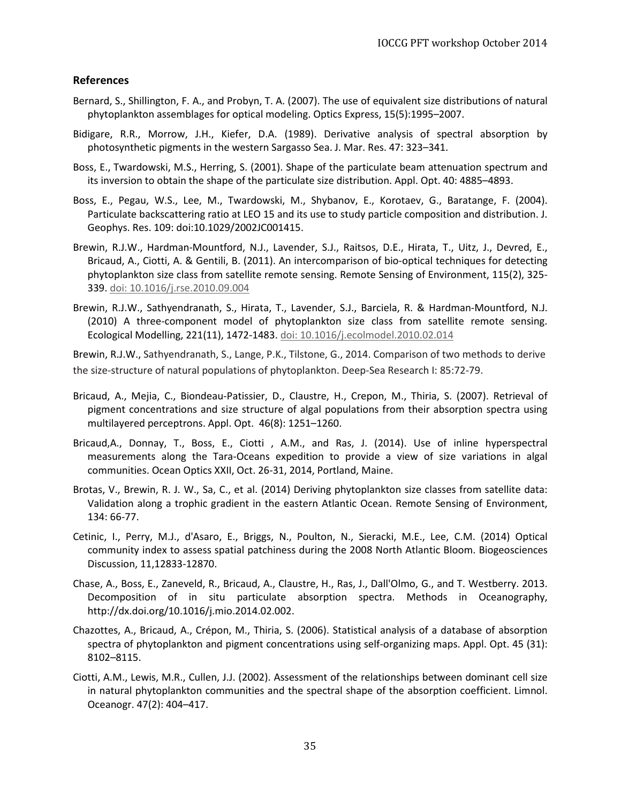### <span id="page-34-0"></span>**References**

- Bernard, S., Shillington, F. A., and Probyn, T. A. (2007). The use of equivalent size distributions of natural phytoplankton assemblages for optical modeling. Optics Express, 15(5):1995–2007.
- Bidigare, R.R., Morrow, J.H., Kiefer, D.A. (1989). Derivative analysis of spectral absorption by photosynthetic pigments in the western Sargasso Sea. J. Mar. Res. 47: 323–341.
- Boss, E., Twardowski, M.S., Herring, S. (2001). Shape of the particulate beam attenuation spectrum and its inversion to obtain the shape of the particulate size distribution. Appl. Opt. 40: 4885–4893.
- Boss, E., Pegau, W.S., Lee, M., Twardowski, M., Shybanov, E., Korotaev, G., Baratange, F. (2004). Particulate backscattering ratio at LEO 15 and its use to study particle composition and distribution. J. Geophys. Res. 109: doi:10.1029/2002JC001415.
- Brewin, R.J.W., Hardman-Mountford, N.J., Lavender, S.J., Raitsos, D.E., Hirata, T., Uitz, J., Devred, E., Bricaud, A., Ciotti, A. & Gentili, B. (2011). An intercomparison of bio-optical techniques for detecting phytoplankton size class from satellite remote sensing. Remote Sensing of Environment, 115(2), 325- 339. [doi: 10.1016/j.rse.2010.09.004](http://dx.doi.org/10.1016/j.rse.2010.09.004)
- Brewin, R.J.W., Sathyendranath, S., Hirata, T., Lavender, S.J., Barciela, R. & Hardman-Mountford, N.J. (2010) A three-component model of phytoplankton size class from satellite remote sensing. Ecological Modelling, 221(11), 1472-1483[. doi: 10.1016/j.ecolmodel.2010.02.014](http://dx.doi.org/10.1016/j.ecolmodel.2010.02.014)

Brewin, R.J.W., Sathyendranath, S., Lange, P.K., Tilstone, G., 2014. Comparison of two methods to derive the size-structure of natural populations of phytoplankton. Deep-Sea Research I: 85:72-79.

- Bricaud, A., Mejia, C., Biondeau-Patissier, D., Claustre, H., Crepon, M., Thiria, S. (2007). Retrieval of pigment concentrations and size structure of algal populations from their absorption spectra using multilayered perceptrons. Appl. Opt. 46(8): 1251–1260.
- Bricaud,A., Donnay, T., Boss, E., Ciotti , A.M., and Ras, J. (2014). Use of inline hyperspectral measurements along the Tara-Oceans expedition to provide a view of size variations in algal communities. Ocean Optics XXII, Oct. 26-31, 2014, Portland, Maine.
- Brotas, V., Brewin, R. J. W., Sa, C., et al. (2014) Deriving phytoplankton size classes from satellite data: Validation along a trophic gradient in the eastern Atlantic Ocean. Remote Sensing of Environment, 134: 66-77.
- Cetinic, I., Perry, M.J., d'Asaro, E., Briggs, N., Poulton, N., Sieracki, M.E., Lee, C.M. (2014) Optical community index to assess spatial patchiness during the 2008 North Atlantic Bloom. Biogeosciences Discussion, 11,12833-12870.
- Chase, A., Boss, E., Zaneveld, R., Bricaud, A., Claustre, H., Ras, J., Dall'Olmo, G., and T. Westberry. 2013. Decomposition of in situ particulate absorption spectra. Methods in Oceanography, http://dx.doi.org/10.1016/j.mio.2014.02.002.
- Chazottes, A., Bricaud, A., Crépon, M., Thiria, S. (2006). Statistical analysis of a database of absorption spectra of phytoplankton and pigment concentrations using self-organizing maps. Appl. Opt. 45 (31): 8102–8115.
- Ciotti, A.M., Lewis, M.R., Cullen, J.J. (2002). Assessment of the relationships between dominant cell size in natural phytoplankton communities and the spectral shape of the absorption coefficient. Limnol. Oceanogr. 47(2): 404–417.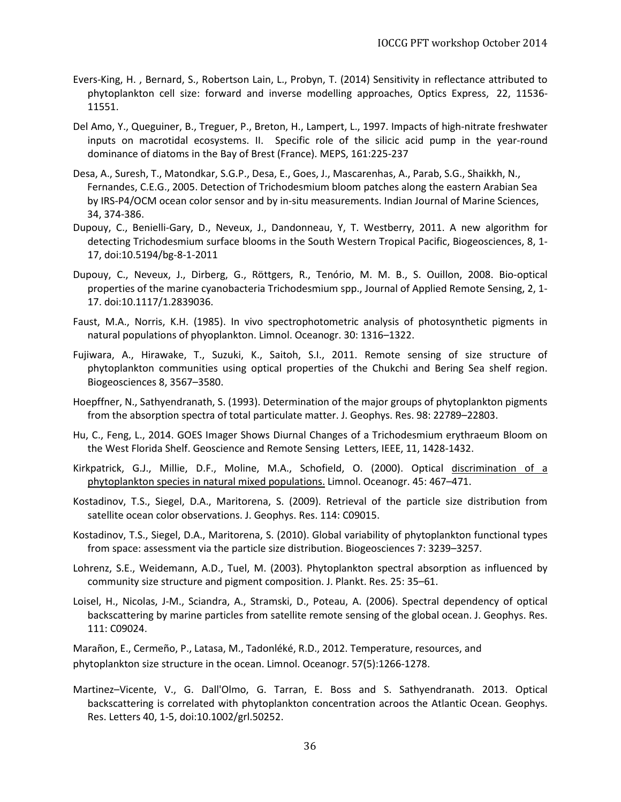- Evers-King, H. , Bernard, S., Robertson Lain, L., Probyn, T. (2014) Sensitivity in reflectance attributed to phytoplankton cell size: forward and inverse modelling approaches, Optics Express, 22, 11536- 11551.
- Del Amo, Y., Queguiner, B., Treguer, P., Breton, H., Lampert, L., 1997. Impacts of high-nitrate freshwater inputs on macrotidal ecosystems. II. Specific role of the silicic acid pump in the year-round dominance of diatoms in the Bay of Brest (France). MEPS, 161:225-237
- Desa, A., Suresh, T., Matondkar, S.G.P., Desa, E., Goes, J., Mascarenhas, A., Parab, S.G., Shaikkh, N., Fernandes, C.E.G., 2005. Detection of Trichodesmium bloom patches along the eastern Arabian Sea by IRS-P4/OCM ocean color sensor and by in-situ measurements. Indian Journal of Marine Sciences, 34, 374-386.
- Dupouy, C., Benielli-Gary, D., Neveux, J., Dandonneau, Y, T. Westberry, 2011. A new algorithm for detecting Trichodesmium surface blooms in the South Western Tropical Pacific, Biogeosciences, 8, 1- 17, doi:10.5194/bg-8-1-2011
- Dupouy, C., Neveux, J., Dirberg, G., Röttgers, R., Tenório, M. M. B., S. Ouillon, 2008. Bio-optical properties of the marine cyanobacteria Trichodesmium spp., Journal of Applied Remote Sensing, 2, 1- 17. doi:10.1117/1.2839036.
- Faust, M.A., Norris, K.H. (1985). In vivo spectrophotometric analysis of photosynthetic pigments in natural populations of phyoplankton. Limnol. Oceanogr. 30: 1316–1322.
- Fujiwara, A., Hirawake, T., Suzuki, K., Saitoh, S.I., 2011. Remote sensing of size structure of phytoplankton communities using optical properties of the Chukchi and Bering Sea shelf region. Biogeosciences 8, 3567–3580.
- Hoepffner, N., Sathyendranath, S. (1993). Determination of the major groups of phytoplankton pigments from the absorption spectra of total particulate matter. J. Geophys. Res. 98: 22789–22803.
- Hu, C., Feng, L., 2014. GOES Imager Shows Diurnal Changes of a Trichodesmium erythraeum Bloom on the West Florida Shelf. Geoscience and Remote Sensing Letters, IEEE, 11, 1428-1432.
- Kirkpatrick, G.J., Millie, D.F., Moline, M.A., Schofield, O. (2000). Optical discrimination of a phytoplankton species in natural mixed populations. Limnol. Oceanogr. 45: 467–471.
- Kostadinov, T.S., Siegel, D.A., Maritorena, S. (2009). Retrieval of the particle size distribution from satellite ocean color observations. J. Geophys. Res. 114: C09015.
- Kostadinov, T.S., Siegel, D.A., Maritorena, S. (2010). Global variability of phytoplankton functional types from space: assessment via the particle size distribution. Biogeosciences 7: 3239–3257.
- Lohrenz, S.E., Weidemann, A.D., Tuel, M. (2003). Phytoplankton spectral absorption as influenced by community size structure and pigment composition. J. Plankt. Res. 25: 35–61.
- Loisel, H., Nicolas, J-M., Sciandra, A., Stramski, D., Poteau, A. (2006). Spectral dependency of optical backscattering by marine particles from satellite remote sensing of the global ocean. J. Geophys. Res. 111: C09024.

Marañon, E., Cermeño, P., Latasa, M., Tadonléké, R.D., 2012. Temperature, resources, and phytoplankton size structure in the ocean. Limnol. Oceanogr. 57(5):1266-1278.

Martinez–Vicente, V., G. Dall'Olmo, G. Tarran, E. Boss and S. Sathyendranath. 2013. Optical backscattering is correlated with phytoplankton concentration acroos the Atlantic Ocean. Geophys. Res. Letters 40, 1-5, doi:10.1002/grl.50252.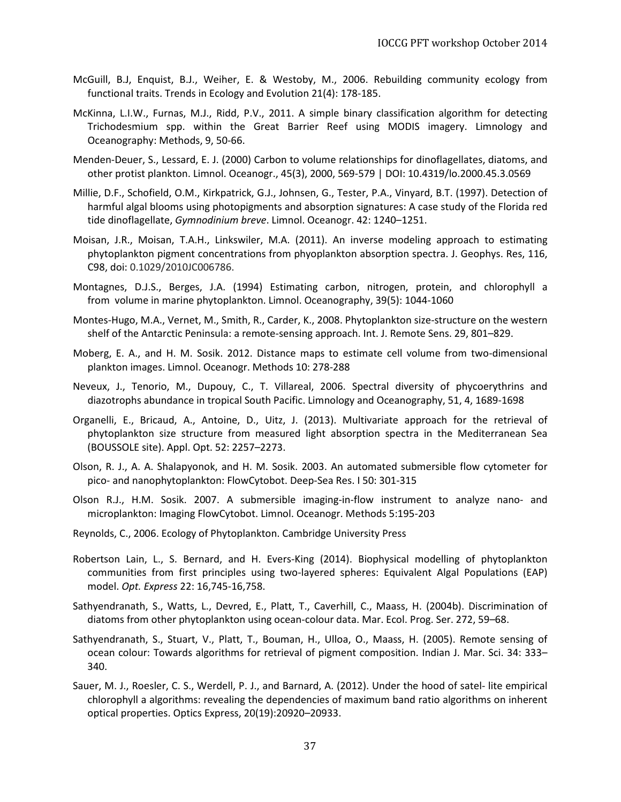- McGuill, B.J, Enquist, B.J., Weiher, E. & Westoby, M., 2006. Rebuilding community ecology from functional traits. Trends in Ecology and Evolution 21(4): 178-185.
- McKinna, L.I.W., Furnas, M.J., Ridd, P.V., 2011. A simple binary classification algorithm for detecting Trichodesmium spp. within the Great Barrier Reef using MODIS imagery. Limnology and Oceanography: Methods, 9, 50-66.
- Menden-Deuer, S., Lessard, E. J. (2000) Carbon to volume relationships for dinoflagellates, diatoms, and other protist plankton. Limnol. Oceanogr., 45(3), 2000, 569-579 | DOI: 10.4319/lo.2000.45.3.0569
- Millie, D.F., Schofield, O.M., Kirkpatrick, G.J., Johnsen, G., Tester, P.A., Vinyard, B.T. (1997). Detection of harmful algal blooms using photopigments and absorption signatures: A case study of the Florida red tide dinoflagellate, *Gymnodinium breve*. Limnol. Oceanogr. 42: 1240–1251.
- Moisan, J.R., Moisan, T.A.H., Linkswiler, M.A. (2011). An inverse modeling approach to estimating phytoplankton pigment concentrations from phyoplankton absorption spectra. J. Geophys. Res, 116, C98, doi: 0.1029/2010JC006786.
- Montagnes, D.J.S., Berges, J.A. (1994) Estimating carbon, nitrogen, protein, and chlorophyll a from volume in marine phytoplankton. Limnol. Oceanography, 39(5): 1044-1060
- Montes-Hugo, M.A., Vernet, M., Smith, R., Carder, K., 2008. Phytoplankton size-structure on the western shelf of the Antarctic Peninsula: a remote-sensing approach. Int. J. Remote Sens. 29, 801–829.
- Moberg, E. A., and H. M. Sosik. 2012. Distance maps to estimate cell volume from two-dimensional plankton images. Limnol. Oceanogr. Methods 10: 278-288
- Neveux, J., Tenorio, M., Dupouy, C., T. Villareal, 2006. Spectral diversity of phycoerythrins and diazotrophs abundance in tropical South Pacific. Limnology and Oceanography, 51, 4, 1689-1698
- Organelli, E., Bricaud, A., Antoine, D., Uitz, J. (2013). Multivariate approach for the retrieval of phytoplankton size structure from measured light absorption spectra in the Mediterranean Sea (BOUSSOLE site). Appl. Opt. 52: 2257–2273.
- Olson, R. J., A. A. Shalapyonok, and H. M. Sosik. 2003. An automated submersible flow cytometer for pico- and nanophytoplankton: FlowCytobot. Deep-Sea Res. I 50: 301-315
- Olson R.J., H.M. Sosik. 2007. A submersible imaging-in-flow instrument to analyze nano- and microplankton: Imaging FlowCytobot. Limnol. Oceanogr. Methods 5:195-203
- Reynolds, C., 2006. Ecology of Phytoplankton. Cambridge University Press
- Robertson Lain, L., S. Bernard, and H. Evers-King (2014). Biophysical modelling of phytoplankton communities from first principles using two-layered spheres: Equivalent Algal Populations (EAP) model. *Opt. Express* 22: 16,745-16,758.
- Sathyendranath, S., Watts, L., Devred, E., Platt, T., Caverhill, C., Maass, H. (2004b). Discrimination of diatoms from other phytoplankton using ocean-colour data. Mar. Ecol. Prog. Ser. 272, 59–68.
- Sathyendranath, S., Stuart, V., Platt, T., Bouman, H., Ulloa, O., Maass, H. (2005). Remote sensing of ocean colour: Towards algorithms for retrieval of pigment composition. Indian J. Mar. Sci. 34: 333– 340.
- Sauer, M. J., Roesler, C. S., Werdell, P. J., and Barnard, A. (2012). Under the hood of satel- lite empirical chlorophyll a algorithms: revealing the dependencies of maximum band ratio algorithms on inherent optical properties. Optics Express, 20(19):20920–20933.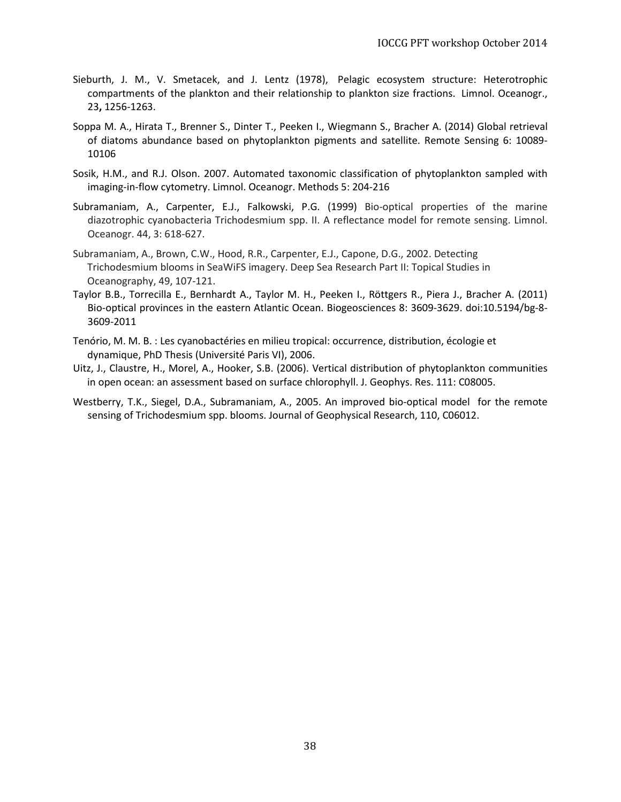- Sieburth, J. M., V. Smetacek, and J. Lentz (1978), Pelagic ecosystem structure: Heterotrophic compartments of the plankton and their relationship to plankton size fractions. Limnol. Oceanogr., 23**,** 1256-1263.
- Soppa M. A., Hirata T., Brenner S., Dinter T., Peeken I., Wiegmann S., Bracher A. (2014) Global retrieval of diatoms abundance based on phytoplankton pigments and satellite. Remote Sensing 6: 10089- 10106
- Sosik, H.M., and R.J. Olson. 2007. Automated taxonomic classification of phytoplankton sampled with imaging-in-flow cytometry. Limnol. Oceanogr. Methods 5: 204-216
- Subramaniam, A., Carpenter, E.J., Falkowski, P.G. (1999) Bio-optical properties of the marine diazotrophic cyanobacteria Trichodesmium spp. II. A reflectance model for remote sensing. Limnol. Oceanogr. 44, 3: 618-627.
- Subramaniam, A., Brown, C.W., Hood, R.R., Carpenter, E.J., Capone, D.G., 2002. Detecting Trichodesmium blooms in SeaWiFS imagery. Deep Sea Research Part II: Topical Studies in Oceanography, 49, 107-121.
- Taylor B.B., Torrecilla E., Bernhardt A., Taylor M. H., Peeken I., Röttgers R., Piera J., Bracher A. (2011) Bio-optical provinces in the eastern Atlantic Ocean. Biogeosciences 8: 3609-3629. doi:10.5194/bg-8- 3609-2011
- Tenório, M. M. B. : Les cyanobactéries en milieu tropical: occurrence, distribution, écologie et dynamique, PhD Thesis (Université Paris VI), 2006.
- Uitz, J., Claustre, H., Morel, A., Hooker, S.B. (2006). Vertical distribution of phytoplankton communities in open ocean: an assessment based on surface chlorophyll. J. Geophys. Res. 111: C08005.
- Westberry, T.K., Siegel, D.A., Subramaniam, A., 2005. An improved bio-optical model for the remote sensing of Trichodesmium spp. blooms. Journal of Geophysical Research, 110, C06012.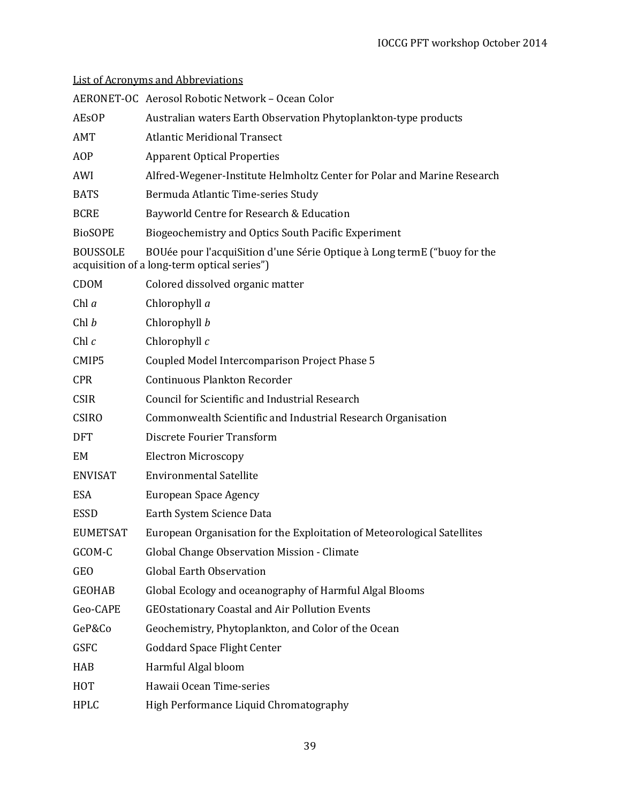|                 | AERONET-OC Aerosol Robotic Network - Ocean Color                                                                        |
|-----------------|-------------------------------------------------------------------------------------------------------------------------|
| <b>AEsOP</b>    | Australian waters Earth Observation Phytoplankton-type products                                                         |
| AMT             | <b>Atlantic Meridional Transect</b>                                                                                     |
| AOP             | <b>Apparent Optical Properties</b>                                                                                      |
| AWI             | Alfred-Wegener-Institute Helmholtz Center for Polar and Marine Research                                                 |
| <b>BATS</b>     | Bermuda Atlantic Time-series Study                                                                                      |
| <b>BCRE</b>     | Bayworld Centre for Research & Education                                                                                |
| <b>BioSOPE</b>  | Biogeochemistry and Optics South Pacific Experiment                                                                     |
| <b>BOUSSOLE</b> | BOUée pour l'acquiSition d'une Série Optique à Long termE ("buoy for the<br>acquisition of a long-term optical series") |
| <b>CDOM</b>     | Colored dissolved organic matter                                                                                        |
| Chl $a$         | Chlorophyll a                                                                                                           |
| Chl b           | Chlorophyll b                                                                                                           |
| Chl $c$         | Chlorophyll $c$                                                                                                         |
| CMIP5           | Coupled Model Intercomparison Project Phase 5                                                                           |
| <b>CPR</b>      | <b>Continuous Plankton Recorder</b>                                                                                     |
| <b>CSIR</b>     | Council for Scientific and Industrial Research                                                                          |
| <b>CSIRO</b>    | Commonwealth Scientific and Industrial Research Organisation                                                            |
| <b>DFT</b>      | Discrete Fourier Transform                                                                                              |
| EM              | <b>Electron Microscopy</b>                                                                                              |
| <b>ENVISAT</b>  | <b>Environmental Satellite</b>                                                                                          |
| <b>ESA</b>      | European Space Agency                                                                                                   |
| <b>ESSD</b>     | Earth System Science Data                                                                                               |
| <b>EUMETSAT</b> | European Organisation for the Exploitation of Meteorological Satellites                                                 |
| GCOM-C          | Global Change Observation Mission - Climate                                                                             |
| <b>GEO</b>      | <b>Global Earth Observation</b>                                                                                         |
| <b>GEOHAB</b>   | Global Ecology and oceanography of Harmful Algal Blooms                                                                 |
| Geo-CAPE        | <b>GEOstationary Coastal and Air Pollution Events</b>                                                                   |
| GeP&Co          | Geochemistry, Phytoplankton, and Color of the Ocean                                                                     |
| <b>GSFC</b>     | <b>Goddard Space Flight Center</b>                                                                                      |
| HAB             | Harmful Algal bloom                                                                                                     |
| HOT             | Hawaii Ocean Time-series                                                                                                |
| <b>HPLC</b>     | High Performance Liquid Chromatography                                                                                  |

# List of Acronyms and Abbreviations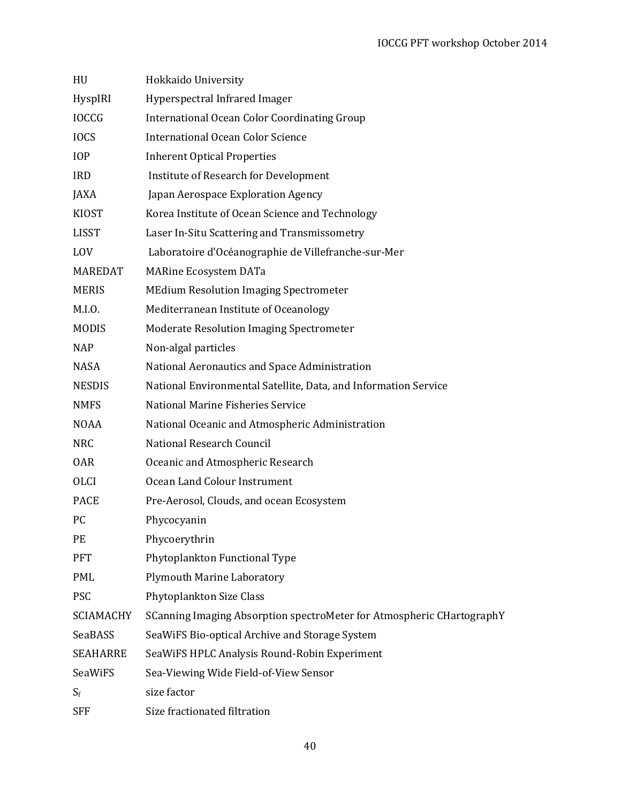| HU               | Hokkaido University                                                   |
|------------------|-----------------------------------------------------------------------|
| HyspIRI          | Hyperspectral Infrared Imager                                         |
| <b>IOCCG</b>     | International Ocean Color Coordinating Group                          |
| <b>IOCS</b>      | <b>International Ocean Color Science</b>                              |
| <b>IOP</b>       | <b>Inherent Optical Properties</b>                                    |
| <b>IRD</b>       | Institute of Research for Development                                 |
| JAXA             | Japan Aerospace Exploration Agency                                    |
| <b>KIOST</b>     | Korea Institute of Ocean Science and Technology                       |
| <b>LISST</b>     | Laser In-Situ Scattering and Transmissometry                          |
| <b>LOV</b>       | Laboratoire d'Océanographie de Villefranche-sur-Mer                   |
| <b>MAREDAT</b>   | <b>MARine Ecosystem DATa</b>                                          |
| <b>MERIS</b>     | <b>MEdium Resolution Imaging Spectrometer</b>                         |
| M.I.0.           | Mediterranean Institute of Oceanology                                 |
| <b>MODIS</b>     | <b>Moderate Resolution Imaging Spectrometer</b>                       |
| <b>NAP</b>       | Non-algal particles                                                   |
| <b>NASA</b>      | National Aeronautics and Space Administration                         |
| <b>NESDIS</b>    | National Environmental Satellite, Data, and Information Service       |
| <b>NMFS</b>      | National Marine Fisheries Service                                     |
| <b>NOAA</b>      | National Oceanic and Atmospheric Administration                       |
| <b>NRC</b>       | National Research Council                                             |
| <b>OAR</b>       | Oceanic and Atmospheric Research                                      |
| <b>OLCI</b>      | Ocean Land Colour Instrument                                          |
| <b>PACE</b>      | Pre-Aerosol, Clouds, and ocean Ecosystem                              |
| PC               | Phycocyanin                                                           |
| PE               | Phycoerythrin                                                         |
| <b>PFT</b>       | Phytoplankton Functional Type                                         |
| <b>PML</b>       | <b>Plymouth Marine Laboratory</b>                                     |
| <b>PSC</b>       | Phytoplankton Size Class                                              |
| <b>SCIAMACHY</b> | SCanning Imaging Absorption spectroMeter for Atmospheric CHartographY |
| SeaBASS          | SeaWiFS Bio-optical Archive and Storage System                        |
| <b>SEAHARRE</b>  | SeaWiFS HPLC Analysis Round-Robin Experiment                          |
| SeaWiFS          | Sea-Viewing Wide Field-of-View Sensor                                 |
| $S_f$            | size factor                                                           |
| <b>SFF</b>       | Size fractionated filtration                                          |